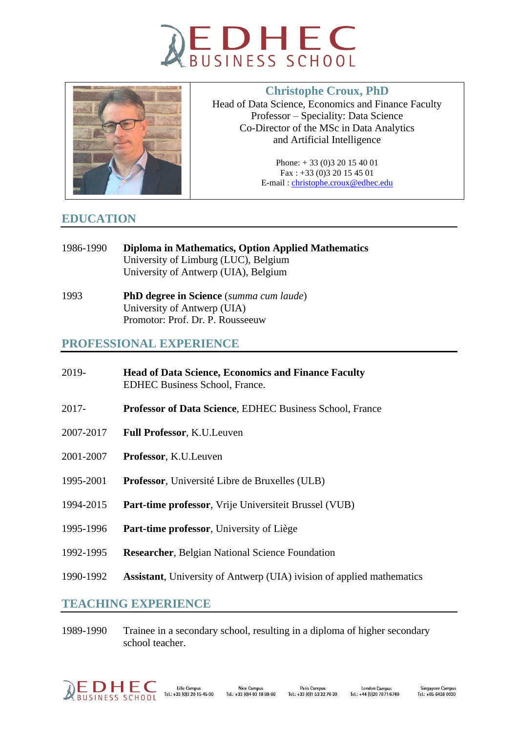



# **Christophe Croux, PhD**

Head of Data Science, Economics and Finance Faculty Professor – Speciality: Data Science Co-Director of the MSc in Data Analytics and Artificial Intelligence

> Phone: + 33 (0)3 20 15 40 01 Fax : +33 (0)3 20 15 45 01 E-mail : [christophe.croux@edhec.edu](mailto:christophe.croux@edhec.edu)

## **EDUCATION**

- 1986-1990 **Diploma in Mathematics, Option Applied Mathematics** University of Limburg (LUC), Belgium University of Antwerp (UIA), Belgium
- 1993 **PhD degree in Science** (*summa cum laude*) University of Antwerp (UIA) Promotor: Prof. Dr. P. Rousseeuw

## **PROFESSIONAL EXPERIENCE**

| 2019-     | <b>Head of Data Science, Economics and Finance Faculty</b><br><b>EDHEC Business School, France.</b> |
|-----------|-----------------------------------------------------------------------------------------------------|
| $2017 -$  | <b>Professor of Data Science, EDHEC Business School, France</b>                                     |
| 2007-2017 | Full Professor, K.U.Leuven                                                                          |
| 2001-2007 | Professor, K.U.Leuven                                                                               |
| 1995-2001 | <b>Professor</b> , Université Libre de Bruxelles (ULB)                                              |
| 1994-2015 | Part-time professor, Vrije Universiteit Brussel (VUB)                                               |
| 1995-1996 | Part-time professor, University of Liège                                                            |
| 1992-1995 | <b>Researcher, Belgian National Science Foundation</b>                                              |
| 1990-1992 | <b>Assistant</b> , University of Antwerp (UIA) ivision of applied mathematics                       |
|           |                                                                                                     |

## **TEACHING EXPERIENCE**

1989-1990 Trainee in a secondary school, resulting in a diploma of higher secondary school teacher.

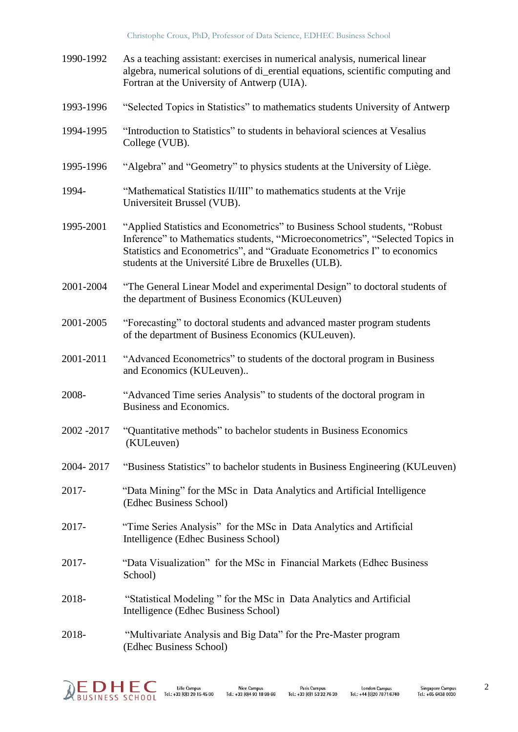| 1990-1992   | As a teaching assistant: exercises in numerical analysis, numerical linear<br>algebra, numerical solutions of di_erential equations, scientific computing and<br>Fortran at the University of Antwerp (UIA).                                                                                    |
|-------------|-------------------------------------------------------------------------------------------------------------------------------------------------------------------------------------------------------------------------------------------------------------------------------------------------|
| 1993-1996   | "Selected Topics in Statistics" to mathematics students University of Antwerp                                                                                                                                                                                                                   |
| 1994-1995   | "Introduction to Statistics" to students in behavioral sciences at Vesalius<br>College (VUB).                                                                                                                                                                                                   |
| 1995-1996   | "Algebra" and "Geometry" to physics students at the University of Liège.                                                                                                                                                                                                                        |
| 1994-       | "Mathematical Statistics II/III" to mathematics students at the Vrije<br>Universiteit Brussel (VUB).                                                                                                                                                                                            |
| 1995-2001   | "Applied Statistics and Econometrics" to Business School students, "Robust"<br>Inference" to Mathematics students, "Microeconometrics", "Selected Topics in<br>Statistics and Econometrics", and "Graduate Econometrics I" to economics<br>students at the Université Libre de Bruxelles (ULB). |
| 2001-2004   | "The General Linear Model and experimental Design" to doctoral students of<br>the department of Business Economics (KULeuven)                                                                                                                                                                   |
| 2001-2005   | "Forecasting" to doctoral students and advanced master program students<br>of the department of Business Economics (KULeuven).                                                                                                                                                                  |
| 2001-2011   | "Advanced Econometrics" to students of the doctoral program in Business<br>and Economics (KULeuven)                                                                                                                                                                                             |
| 2008-       | "Advanced Time series Analysis" to students of the doctoral program in<br>Business and Economics.                                                                                                                                                                                               |
| 2002 - 2017 | "Quantitative methods" to bachelor students in Business Economics<br>(KULeuven)                                                                                                                                                                                                                 |
| 2004-2017   | "Business Statistics" to bachelor students in Business Engineering (KULeuven)                                                                                                                                                                                                                   |
| 2017-       | "Data Mining" for the MSc in Data Analytics and Artificial Intelligence<br>(Edhec Business School)                                                                                                                                                                                              |
| 2017-       | "Time Series Analysis" for the MSc in Data Analytics and Artificial<br>Intelligence (Edhec Business School)                                                                                                                                                                                     |
| 2017-       | "Data Visualization" for the MSc in Financial Markets (Edhec Business<br>School)                                                                                                                                                                                                                |
| 2018-       | "Statistical Modeling" for the MSc in Data Analytics and Artificial<br>Intelligence (Edhec Business School)                                                                                                                                                                                     |
| 2018-       | "Multivariate Analysis and Big Data" for the Pre-Master program<br>(Edhec Business School)                                                                                                                                                                                                      |

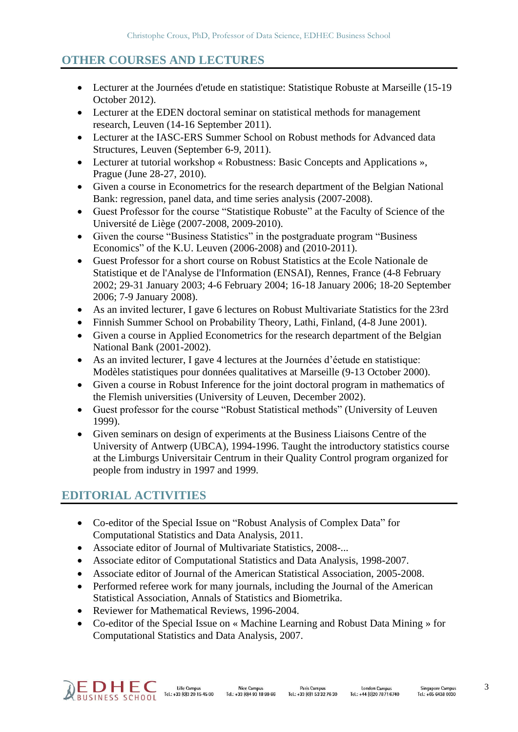## **OTHER COURSES AND LECTURES**

- Lecturer at the Journées d'etude en statistique: Statistique Robuste at Marseille (15-19 October 2012).
- Lecturer at the EDEN doctoral seminar on statistical methods for management research, Leuven (14-16 September 2011).
- Lecturer at the IASC-ERS Summer School on Robust methods for Advanced data Structures, Leuven (September 6-9, 2011).
- Lecturer at tutorial workshop « Robustness: Basic Concepts and Applications », Prague (June 28-27, 2010).
- Given a course in Econometrics for the research department of the Belgian National Bank: regression, panel data, and time series analysis (2007-2008).
- Guest Professor for the course "Statistique Robuste" at the Faculty of Science of the Université de Liège (2007-2008, 2009-2010).
- Given the course "Business Statistics" in the postgraduate program "Business Economics" of the K.U. Leuven (2006-2008) and (2010-2011).
- Guest Professor for a short course on Robust Statistics at the Ecole Nationale de Statistique et de l'Analyse de l'Information (ENSAI), Rennes, France (4-8 February 2002; 29-31 January 2003; 4-6 February 2004; 16-18 January 2006; 18-20 September 2006; 7-9 January 2008).
- As an invited lecturer, I gave 6 lectures on Robust Multivariate Statistics for the 23rd
- Finnish Summer School on Probability Theory, Lathi, Finland, (4-8 June 2001).
- Given a course in Applied Econometrics for the research department of the Belgian National Bank (2001-2002).
- As an invited lecturer, I gave 4 lectures at the Journées d'éetude en statistique: Modèles statistiques pour données qualitatives at Marseille (9-13 October 2000).
- Given a course in Robust Inference for the joint doctoral program in mathematics of the Flemish universities (University of Leuven, December 2002).
- Guest professor for the course "Robust Statistical methods" (University of Leuven 1999).
- Given seminars on design of experiments at the Business Liaisons Centre of the University of Antwerp (UBCA), 1994-1996. Taught the introductory statistics course at the Limburgs Universitair Centrum in their Quality Control program organized for people from industry in 1997 and 1999.

## **EDITORIAL ACTIVITIES**

- Co-editor of the Special Issue on "Robust Analysis of Complex Data" for Computational Statistics and Data Analysis, 2011.
- Associate editor of Journal of Multivariate Statistics, 2008-...
- Associate editor of Computational Statistics and Data Analysis, 1998-2007.
- Associate editor of Journal of the American Statistical Association, 2005-2008.
- Performed referee work for many journals, including the Journal of the American Statistical Association, Annals of Statistics and Biometrika.
- Reviewer for Mathematical Reviews, 1996-2004.
- Co-editor of the Special Issue on « Machine Learning and Robust Data Mining » for Computational Statistics and Data Analysis, 2007.

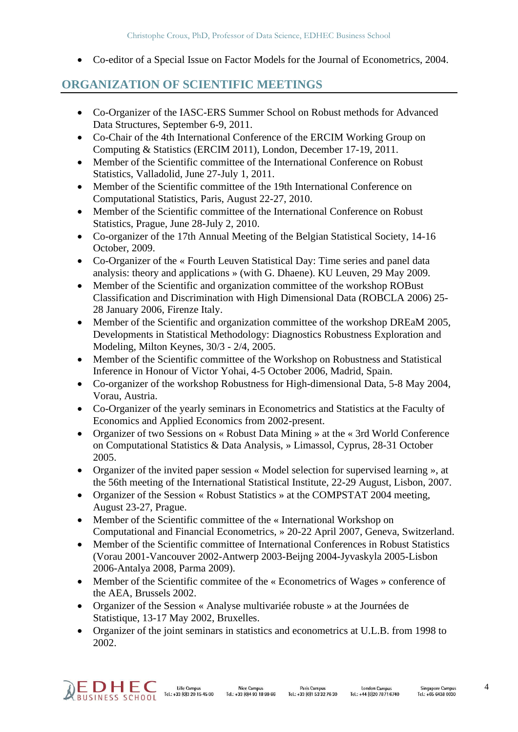• Co-editor of a Special Issue on Factor Models for the Journal of Econometrics, 2004.

## **ORGANIZATION OF SCIENTIFIC MEETINGS**

- Co-Organizer of the IASC-ERS Summer School on Robust methods for Advanced Data Structures, September 6-9, 2011.
- Co-Chair of the 4th International Conference of the ERCIM Working Group on Computing & Statistics (ERCIM 2011), London, December 17-19, 2011.
- Member of the Scientific committee of the International Conference on Robust Statistics, Valladolid, June 27-July 1, 2011.
- Member of the Scientific committee of the 19th International Conference on Computational Statistics, Paris, August 22-27, 2010.
- Member of the Scientific committee of the International Conference on Robust Statistics, Prague, June 28-July 2, 2010.
- Co-organizer of the 17th Annual Meeting of the Belgian Statistical Society, 14-16 October, 2009.
- Co-Organizer of the « Fourth Leuven Statistical Day: Time series and panel data analysis: theory and applications » (with G. Dhaene). KU Leuven, 29 May 2009.
- Member of the Scientific and organization committee of the workshop ROBust Classification and Discrimination with High Dimensional Data (ROBCLA 2006) 25- 28 January 2006, Firenze Italy.
- Member of the Scientific and organization committee of the workshop DREaM 2005, Developments in Statistical Methodology: Diagnostics Robustness Exploration and Modeling, Milton Keynes, 30/3 - 2/4, 2005.
- Member of the Scientific committee of the Workshop on Robustness and Statistical Inference in Honour of Victor Yohai, 4-5 October 2006, Madrid, Spain.
- Co-organizer of the workshop Robustness for High-dimensional Data, 5-8 May 2004, Vorau, Austria.
- Co-Organizer of the yearly seminars in Econometrics and Statistics at the Faculty of Economics and Applied Economics from 2002-present.
- Organizer of two Sessions on « Robust Data Mining » at the « 3rd World Conference on Computational Statistics & Data Analysis, » Limassol, Cyprus, 28-31 October 2005.
- Organizer of the invited paper session « Model selection for supervised learning », at the 56th meeting of the International Statistical Institute, 22-29 August, Lisbon, 2007.
- Organizer of the Session « Robust Statistics » at the COMPSTAT 2004 meeting, August 23-27, Prague.
- Member of the Scientific committee of the « International Workshop on Computational and Financial Econometrics, » 20-22 April 2007, Geneva, Switzerland.
- Member of the Scientific committee of International Conferences in Robust Statistics (Vorau 2001-Vancouver 2002-Antwerp 2003-Beijng 2004-Jyvaskyla 2005-Lisbon 2006-Antalya 2008, Parma 2009).
- Member of the Scientific commitee of the « Econometrics of Wages » conference of the AEA, Brussels 2002.
- Organizer of the Session « Analyse multivariée robuste » at the Journées de Statistique, 13-17 May 2002, Bruxelles.
- Organizer of the joint seminars in statistics and econometrics at U.L.B. from 1998 to 2002.

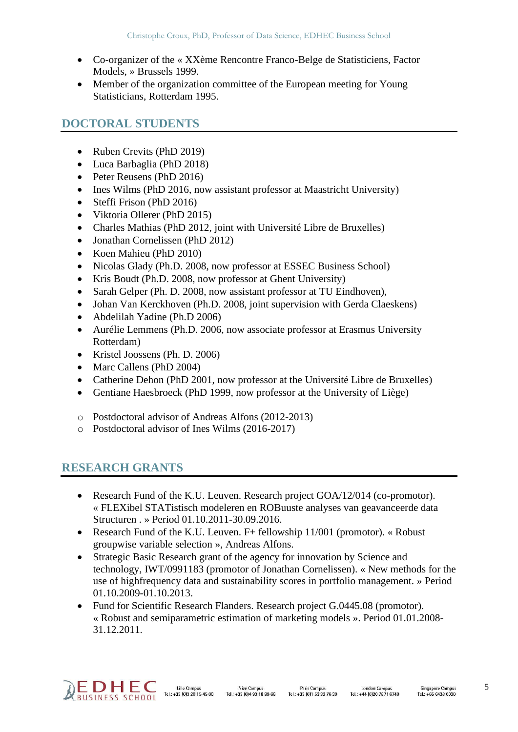- Co-organizer of the « XXème Rencontre Franco-Belge de Statisticiens, Factor Models, » Brussels 1999.
- Member of the organization committee of the European meeting for Young Statisticians, Rotterdam 1995.

## **DOCTORAL STUDENTS**

- Ruben Crevits (PhD 2019)
- Luca Barbaglia (PhD 2018)
- Peter Reusens (PhD 2016)
- Ines Wilms (PhD 2016, now assistant professor at Maastricht University)
- Steffi Frison (PhD 2016)
- Viktoria Ollerer (PhD 2015)
- Charles Mathias (PhD 2012, joint with Université Libre de Bruxelles)
- Jonathan Cornelissen (PhD 2012)
- Koen Mahieu (PhD 2010)
- Nicolas Glady (Ph.D. 2008, now professor at ESSEC Business School)
- Kris Boudt (Ph.D. 2008, now professor at Ghent University)
- Sarah Gelper (Ph. D. 2008, now assistant professor at TU Eindhoven).
- Johan Van Kerckhoven (Ph.D. 2008, joint supervision with Gerda Claeskens)
- Abdelilah Yadine (Ph.D 2006)
- Aurélie Lemmens (Ph.D. 2006, now associate professor at Erasmus University Rotterdam)
- Kristel Joossens (Ph. D. 2006)
- Marc Callens (PhD 2004)
- Catherine Dehon (PhD 2001, now professor at the Université Libre de Bruxelles)
- Gentiane Haesbroeck (PhD 1999, now professor at the University of Liège)
- o Postdoctoral advisor of Andreas Alfons (2012-2013)
- o Postdoctoral advisor of Ines Wilms (2016-2017)

## **RESEARCH GRANTS**

- Research Fund of the K.U. Leuven. Research project GOA/12/014 (co-promotor). « FLEXibel STATistisch modeleren en ROBuuste analyses van geavanceerde data Structuren . » Period 01.10.2011-30.09.2016.
- Research Fund of the K.U. Leuven.  $F$ + fellowship 11/001 (promotor). « Robust groupwise variable selection », Andreas Alfons.
- Strategic Basic Research grant of the agency for innovation by Science and technology, IWT/0991183 (promotor of Jonathan Cornelissen). « New methods for the use of highfrequency data and sustainability scores in portfolio management. » Period 01.10.2009-01.10.2013.
- Fund for Scientific Research Flanders. Research project G.0445.08 (promotor). « Robust and semiparametric estimation of marketing models ». Period 01.01.2008- 31.12.2011.

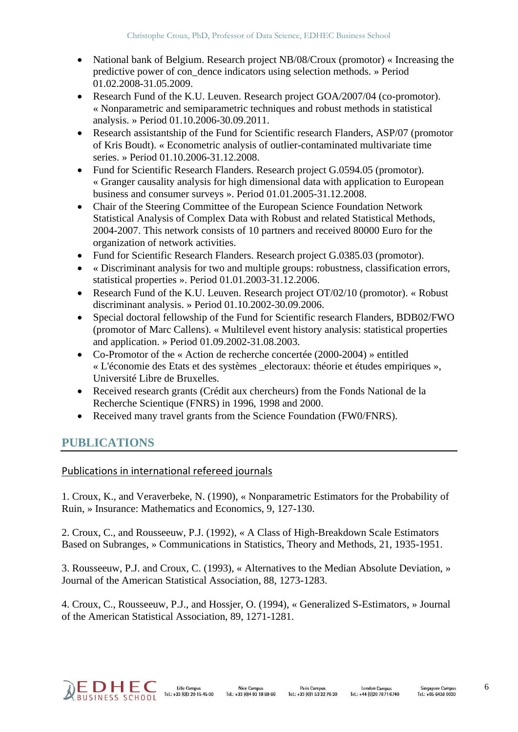- National bank of Belgium. Research project NB/08/Croux (promotor) « Increasing the predictive power of con\_dence indicators using selection methods. » Period 01.02.2008-31.05.2009.
- Research Fund of the K.U. Leuven. Research project GOA/2007/04 (co-promotor). « Nonparametric and semiparametric techniques and robust methods in statistical analysis. » Period 01.10.2006-30.09.2011.
- Research assistantship of the Fund for Scientific research Flanders, ASP/07 (promotor of Kris Boudt). « Econometric analysis of outlier-contaminated multivariate time series. » Period 01.10.2006-31.12.2008.
- Fund for Scientific Research Flanders. Research project G.0594.05 (promotor). « Granger causality analysis for high dimensional data with application to European business and consumer surveys ». Period 01.01.2005-31.12.2008.
- Chair of the Steering Committee of the European Science Foundation Network Statistical Analysis of Complex Data with Robust and related Statistical Methods, 2004-2007. This network consists of 10 partners and received 80000 Euro for the organization of network activities.
- Fund for Scientific Research Flanders. Research project G.0385.03 (promotor).
- « Discriminant analysis for two and multiple groups: robustness, classification errors, statistical properties ». Period 01.01.2003-31.12.2006.
- Research Fund of the K.U. Leuven. Research project OT/02/10 (promotor). « Robust discriminant analysis. » Period 01.10.2002-30.09.2006.
- Special doctoral fellowship of the Fund for Scientific research Flanders, BDB02/FWO (promotor of Marc Callens). « Multilevel event history analysis: statistical properties and application. » Period 01.09.2002-31.08.2003.
- Co-Promotor of the « Action de recherche concertée (2000-2004) » entitled « L'économie des Etats et des systèmes \_electoraux: théorie et études empiriques », Université Libre de Bruxelles.
- Received research grants (Crédit aux chercheurs) from the Fonds National de la Recherche Scientique (FNRS) in 1996, 1998 and 2000.
- Received many travel grants from the Science Foundation (FW0/FNRS).

## **PUBLICATIONS**

#### Publications in international refereed journals

1. Croux, K., and Veraverbeke, N. (1990), « Nonparametric Estimators for the Probability of Ruin, » Insurance: Mathematics and Economics, 9, 127-130.

2. Croux, C., and Rousseeuw, P.J. (1992), « A Class of High-Breakdown Scale Estimators Based on Subranges, » Communications in Statistics, Theory and Methods, 21, 1935-1951.

3. Rousseeuw, P.J. and Croux, C. (1993), « Alternatives to the Median Absolute Deviation, » Journal of the American Statistical Association, 88, 1273-1283.

4. Croux, C., Rousseeuw, P.J., and Hossjer, O. (1994), « Generalized S-Estimators, » Journal of the American Statistical Association, 89, 1271-1281.

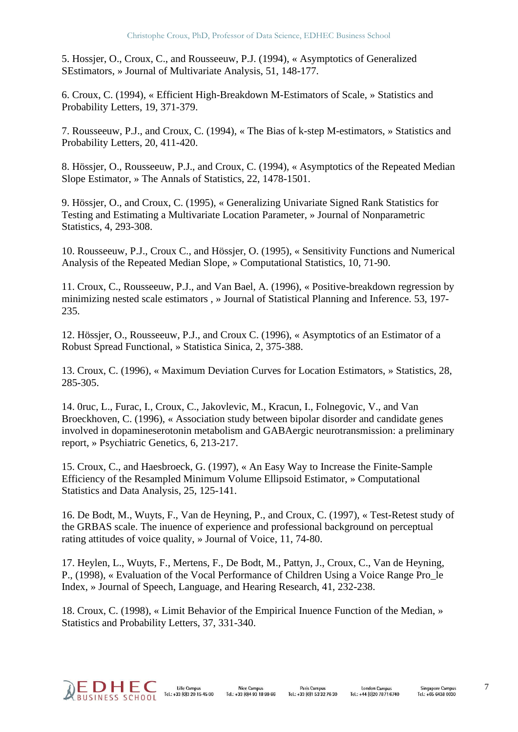5. Hossjer, O., Croux, C., and Rousseeuw, P.J. (1994), « Asymptotics of Generalized SEstimators, » Journal of Multivariate Analysis, 51, 148-177.

6. Croux, C. (1994), « Efficient High-Breakdown M-Estimators of Scale, » Statistics and Probability Letters, 19, 371-379.

7. Rousseeuw, P.J., and Croux, C. (1994), « The Bias of k-step M-estimators, » Statistics and Probability Letters, 20, 411-420.

8. Hössjer, O., Rousseeuw, P.J., and Croux, C. (1994), « Asymptotics of the Repeated Median Slope Estimator, » The Annals of Statistics, 22, 1478-1501.

9. Hössjer, O., and Croux, C. (1995), « Generalizing Univariate Signed Rank Statistics for Testing and Estimating a Multivariate Location Parameter, » Journal of Nonparametric Statistics, 4, 293-308.

10. Rousseeuw, P.J., Croux C., and Hössjer, O. (1995), « Sensitivity Functions and Numerical Analysis of the Repeated Median Slope, » Computational Statistics, 10, 71-90.

11. Croux, C., Rousseeuw, P.J., and Van Bael, A. (1996), « Positive-breakdown regression by minimizing nested scale estimators , » Journal of Statistical Planning and Inference. 53, 197- 235.

12. Hössjer, O., Rousseeuw, P.J., and Croux C. (1996), « Asymptotics of an Estimator of a Robust Spread Functional, » Statistica Sinica, 2, 375-388.

13. Croux, C. (1996), « Maximum Deviation Curves for Location Estimators, » Statistics, 28, 285-305.

14. 0ruc, L., Furac, I., Croux, C., Jakovlevic, M., Kracun, I., Folnegovic, V., and Van Broeckhoven, C. (1996), « Association study between bipolar disorder and candidate genes involved in dopamineserotonin metabolism and GABAergic neurotransmission: a preliminary report, » Psychiatric Genetics, 6, 213-217.

15. Croux, C., and Haesbroeck, G. (1997), « An Easy Way to Increase the Finite-Sample Efficiency of the Resampled Minimum Volume Ellipsoid Estimator, » Computational Statistics and Data Analysis, 25, 125-141.

16. De Bodt, M., Wuyts, F., Van de Heyning, P., and Croux, C. (1997), « Test-Retest study of the GRBAS scale. The inuence of experience and professional background on perceptual rating attitudes of voice quality, » Journal of Voice, 11, 74-80.

17. Heylen, L., Wuyts, F., Mertens, F., De Bodt, M., Pattyn, J., Croux, C., Van de Heyning, P., (1998), « Evaluation of the Vocal Performance of Children Using a Voice Range Pro\_le Index, » Journal of Speech, Language, and Hearing Research, 41, 232-238.

18. Croux, C. (1998), « Limit Behavior of the Empirical Inuence Function of the Median, » Statistics and Probability Letters, 37, 331-340.

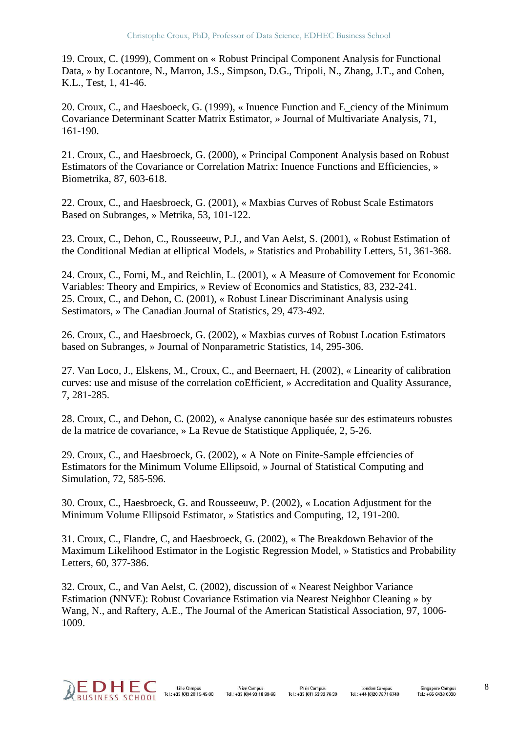19. Croux, C. (1999), Comment on « Robust Principal Component Analysis for Functional Data, » by Locantore, N., Marron, J.S., Simpson, D.G., Tripoli, N., Zhang, J.T., and Cohen, K.L., Test, 1, 41-46.

20. Croux, C., and Haesboeck, G. (1999), « Inuence Function and E\_ciency of the Minimum Covariance Determinant Scatter Matrix Estimator, » Journal of Multivariate Analysis, 71, 161-190.

21. Croux, C., and Haesbroeck, G. (2000), « Principal Component Analysis based on Robust Estimators of the Covariance or Correlation Matrix: Inuence Functions and Efficiencies, » Biometrika, 87, 603-618.

22. Croux, C., and Haesbroeck, G. (2001), « Maxbias Curves of Robust Scale Estimators Based on Subranges, » Metrika, 53, 101-122.

23. Croux, C., Dehon, C., Rousseeuw, P.J., and Van Aelst, S. (2001), « Robust Estimation of the Conditional Median at elliptical Models, » Statistics and Probability Letters, 51, 361-368.

24. Croux, C., Forni, M., and Reichlin, L. (2001), « A Measure of Comovement for Economic Variables: Theory and Empirics, » Review of Economics and Statistics, 83, 232-241. 25. Croux, C., and Dehon, C. (2001), « Robust Linear Discriminant Analysis using Sestimators, » The Canadian Journal of Statistics, 29, 473-492.

26. Croux, C., and Haesbroeck, G. (2002), « Maxbias curves of Robust Location Estimators based on Subranges, » Journal of Nonparametric Statistics, 14, 295-306.

27. Van Loco, J., Elskens, M., Croux, C., and Beernaert, H. (2002), « Linearity of calibration curves: use and misuse of the correlation coEfficient, » Accreditation and Quality Assurance, 7, 281-285.

28. Croux, C., and Dehon, C. (2002), « Analyse canonique basée sur des estimateurs robustes de la matrice de covariance, » La Revue de Statistique Appliquée, 2, 5-26.

29. Croux, C., and Haesbroeck, G. (2002), « A Note on Finite-Sample effciencies of Estimators for the Minimum Volume Ellipsoid, » Journal of Statistical Computing and Simulation, 72, 585-596.

30. Croux, C., Haesbroeck, G. and Rousseeuw, P. (2002), « Location Adjustment for the Minimum Volume Ellipsoid Estimator, » Statistics and Computing, 12, 191-200.

31. Croux, C., Flandre, C, and Haesbroeck, G. (2002), « The Breakdown Behavior of the Maximum Likelihood Estimator in the Logistic Regression Model, » Statistics and Probability Letters, 60, 377-386.

32. Croux, C., and Van Aelst, C. (2002), discussion of « Nearest Neighbor Variance Estimation (NNVE): Robust Covariance Estimation via Nearest Neighbor Cleaning » by Wang, N., and Raftery, A.E., The Journal of the American Statistical Association, 97, 1006- 1009.

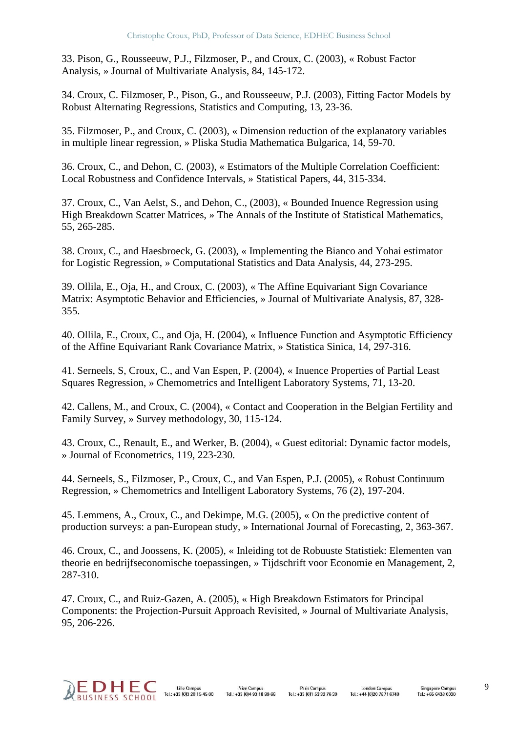33. Pison, G., Rousseeuw, P.J., Filzmoser, P., and Croux, C. (2003), « Robust Factor Analysis, » Journal of Multivariate Analysis, 84, 145-172.

34. Croux, C. Filzmoser, P., Pison, G., and Rousseeuw, P.J. (2003), Fitting Factor Models by Robust Alternating Regressions, Statistics and Computing, 13, 23-36.

35. Filzmoser, P., and Croux, C. (2003), « Dimension reduction of the explanatory variables in multiple linear regression, » Pliska Studia Mathematica Bulgarica, 14, 59-70.

36. Croux, C., and Dehon, C. (2003), « Estimators of the Multiple Correlation Coefficient: Local Robustness and Confidence Intervals, » Statistical Papers, 44, 315-334.

37. Croux, C., Van Aelst, S., and Dehon, C., (2003), « Bounded Inuence Regression using High Breakdown Scatter Matrices, » The Annals of the Institute of Statistical Mathematics, 55, 265-285.

38. Croux, C., and Haesbroeck, G. (2003), « Implementing the Bianco and Yohai estimator for Logistic Regression, » Computational Statistics and Data Analysis, 44, 273-295.

39. Ollila, E., Oja, H., and Croux, C. (2003), « The Affine Equivariant Sign Covariance Matrix: Asymptotic Behavior and Efficiencies, » Journal of Multivariate Analysis, 87, 328- 355.

40. Ollila, E., Croux, C., and Oja, H. (2004), « Influence Function and Asymptotic Efficiency of the Affine Equivariant Rank Covariance Matrix, » Statistica Sinica, 14, 297-316.

41. Serneels, S, Croux, C., and Van Espen, P. (2004), « Inuence Properties of Partial Least Squares Regression, » Chemometrics and Intelligent Laboratory Systems, 71, 13-20.

42. Callens, M., and Croux, C. (2004), « Contact and Cooperation in the Belgian Fertility and Family Survey, » Survey methodology, 30, 115-124.

43. Croux, C., Renault, E., and Werker, B. (2004), « Guest editorial: Dynamic factor models, » Journal of Econometrics, 119, 223-230.

44. Serneels, S., Filzmoser, P., Croux, C., and Van Espen, P.J. (2005), « Robust Continuum Regression, » Chemometrics and Intelligent Laboratory Systems, 76 (2), 197-204.

45. Lemmens, A., Croux, C., and Dekimpe, M.G. (2005), « On the predictive content of production surveys: a pan-European study, » International Journal of Forecasting, 2, 363-367.

46. Croux, C., and Joossens, K. (2005), « Inleiding tot de Robuuste Statistiek: Elementen van theorie en bedrijfseconomische toepassingen, » Tijdschrift voor Economie en Management, 2, 287-310.

47. Croux, C., and Ruiz-Gazen, A. (2005), « High Breakdown Estimators for Principal Components: the Projection-Pursuit Approach Revisited, » Journal of Multivariate Analysis, 95, 206-226.

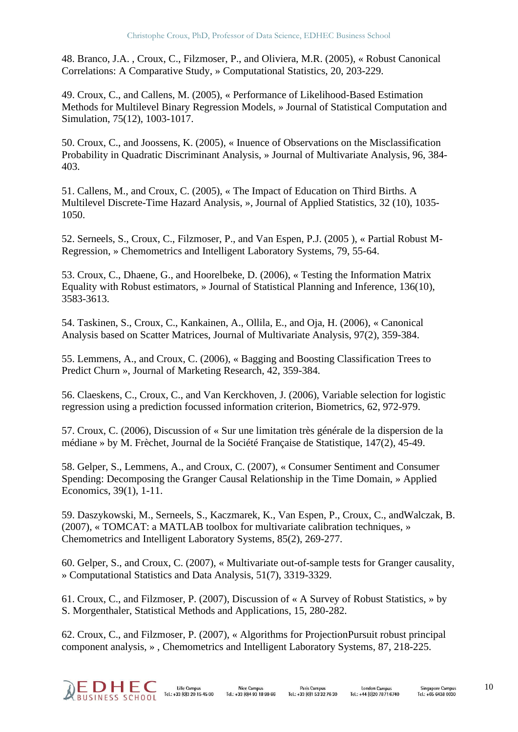48. Branco, J.A. , Croux, C., Filzmoser, P., and Oliviera, M.R. (2005), « Robust Canonical Correlations: A Comparative Study, » Computational Statistics, 20, 203-229.

49. Croux, C., and Callens, M. (2005), « Performance of Likelihood-Based Estimation Methods for Multilevel Binary Regression Models, » Journal of Statistical Computation and Simulation, 75(12), 1003-1017.

50. Croux, C., and Joossens, K. (2005), « Inuence of Observations on the Misclassification Probability in Quadratic Discriminant Analysis, » Journal of Multivariate Analysis, 96, 384- 403.

51. Callens, M., and Croux, C. (2005), « The Impact of Education on Third Births. A Multilevel Discrete-Time Hazard Analysis, », Journal of Applied Statistics, 32 (10), 1035- 1050.

52. Serneels, S., Croux, C., Filzmoser, P., and Van Espen, P.J. (2005 ), « Partial Robust M-Regression, » Chemometrics and Intelligent Laboratory Systems, 79, 55-64.

53. Croux, C., Dhaene, G., and Hoorelbeke, D. (2006), « Testing the Information Matrix Equality with Robust estimators, » Journal of Statistical Planning and Inference, 136(10), 3583-3613.

54. Taskinen, S., Croux, C., Kankainen, A., Ollila, E., and Oja, H. (2006), « Canonical Analysis based on Scatter Matrices, Journal of Multivariate Analysis, 97(2), 359-384.

55. Lemmens, A., and Croux, C. (2006), « Bagging and Boosting Classification Trees to Predict Churn », Journal of Marketing Research, 42, 359-384.

56. Claeskens, C., Croux, C., and Van Kerckhoven, J. (2006), Variable selection for logistic regression using a prediction focussed information criterion, Biometrics, 62, 972-979.

57. Croux, C. (2006), Discussion of « Sur une limitation très générale de la dispersion de la médiane » by M. Frèchet, Journal de la Société Française de Statistique, 147(2), 45-49.

58. Gelper, S., Lemmens, A., and Croux, C. (2007), « Consumer Sentiment and Consumer Spending: Decomposing the Granger Causal Relationship in the Time Domain, » Applied Economics, 39(1), 1-11.

59. Daszykowski, M., Serneels, S., Kaczmarek, K., Van Espen, P., Croux, C., andWalczak, B. (2007), « TOMCAT: a MATLAB toolbox for multivariate calibration techniques, » Chemometrics and Intelligent Laboratory Systems, 85(2), 269-277.

60. Gelper, S., and Croux, C. (2007), « Multivariate out-of-sample tests for Granger causality, » Computational Statistics and Data Analysis, 51(7), 3319-3329.

61. Croux, C., and Filzmoser, P. (2007), Discussion of « A Survey of Robust Statistics, » by S. Morgenthaler, Statistical Methods and Applications, 15, 280-282.

62. Croux, C., and Filzmoser, P. (2007), « Algorithms for ProjectionPursuit robust principal component analysis, » , Chemometrics and Intelligent Laboratory Systems, 87, 218-225.

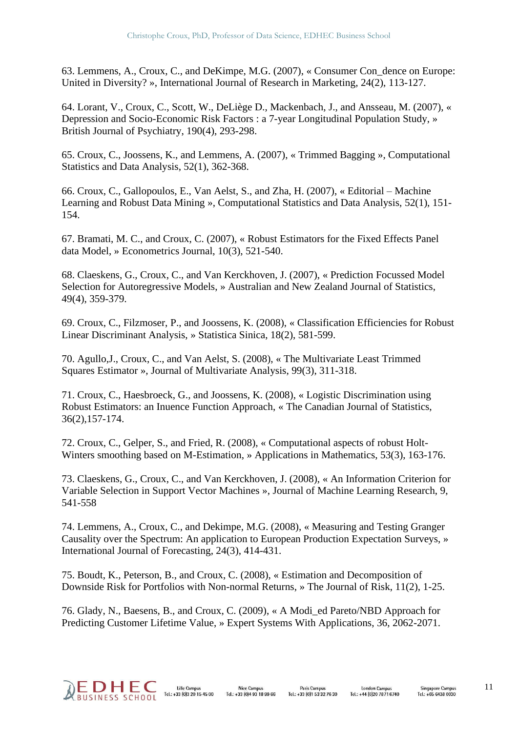63. Lemmens, A., Croux, C., and DeKimpe, M.G. (2007), « Consumer Con\_dence on Europe: United in Diversity? », International Journal of Research in Marketing, 24(2), 113-127.

64. Lorant, V., Croux, C., Scott, W., DeLiège D., Mackenbach, J., and Ansseau, M. (2007), « Depression and Socio-Economic Risk Factors : a 7-year Longitudinal Population Study, » British Journal of Psychiatry, 190(4), 293-298.

65. Croux, C., Joossens, K., and Lemmens, A. (2007), « Trimmed Bagging », Computational Statistics and Data Analysis, 52(1), 362-368.

66. Croux, C., Gallopoulos, E., Van Aelst, S., and Zha, H. (2007), « Editorial – Machine Learning and Robust Data Mining », Computational Statistics and Data Analysis, 52(1), 151- 154.

67. Bramati, M. C., and Croux, C. (2007), « Robust Estimators for the Fixed Effects Panel data Model, » Econometrics Journal, 10(3), 521-540.

68. Claeskens, G., Croux, C., and Van Kerckhoven, J. (2007), « Prediction Focussed Model Selection for Autoregressive Models, » Australian and New Zealand Journal of Statistics, 49(4), 359-379.

69. Croux, C., Filzmoser, P., and Joossens, K. (2008), « Classification Efficiencies for Robust Linear Discriminant Analysis, » Statistica Sinica, 18(2), 581-599.

70. Agullo,J., Croux, C., and Van Aelst, S. (2008), « The Multivariate Least Trimmed Squares Estimator », Journal of Multivariate Analysis, 99(3), 311-318.

71. Croux, C., Haesbroeck, G., and Joossens, K. (2008), « Logistic Discrimination using Robust Estimators: an Inuence Function Approach, « The Canadian Journal of Statistics, 36(2),157-174.

72. Croux, C., Gelper, S., and Fried, R. (2008), « Computational aspects of robust Holt-Winters smoothing based on M-Estimation, » Applications in Mathematics, 53(3), 163-176.

73. Claeskens, G., Croux, C., and Van Kerckhoven, J. (2008), « An Information Criterion for Variable Selection in Support Vector Machines », Journal of Machine Learning Research, 9, 541-558

74. Lemmens, A., Croux, C., and Dekimpe, M.G. (2008), « Measuring and Testing Granger Causality over the Spectrum: An application to European Production Expectation Surveys, » International Journal of Forecasting, 24(3), 414-431.

75. Boudt, K., Peterson, B., and Croux, C. (2008), « Estimation and Decomposition of Downside Risk for Portfolios with Non-normal Returns, » The Journal of Risk, 11(2), 1-25.

76. Glady, N., Baesens, B., and Croux, C. (2009), « A Modi\_ed Pareto/NBD Approach for Predicting Customer Lifetime Value, » Expert Systems With Applications, 36, 2062-2071.

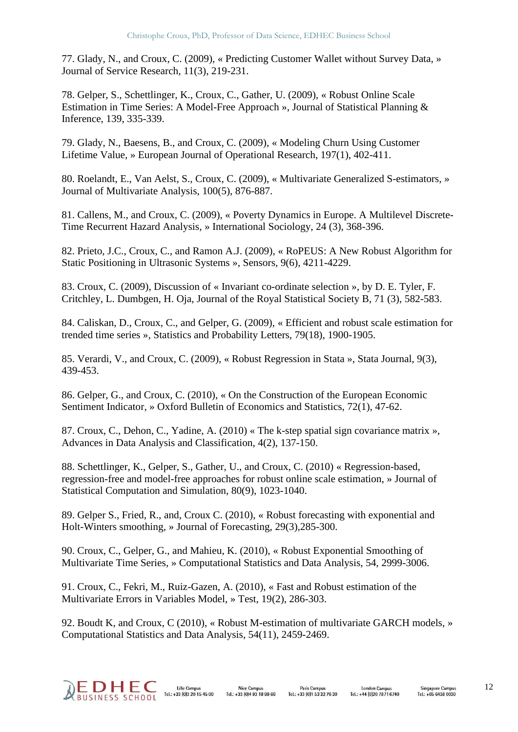77. Glady, N., and Croux, C. (2009), « Predicting Customer Wallet without Survey Data, » Journal of Service Research, 11(3), 219-231.

78. Gelper, S., Schettlinger, K., Croux, C., Gather, U. (2009), « Robust Online Scale Estimation in Time Series: A Model-Free Approach », Journal of Statistical Planning & Inference, 139, 335-339.

79. Glady, N., Baesens, B., and Croux, C. (2009), « Modeling Churn Using Customer Lifetime Value, » European Journal of Operational Research, 197(1), 402-411.

80. Roelandt, E., Van Aelst, S., Croux, C. (2009), « Multivariate Generalized S-estimators, » Journal of Multivariate Analysis, 100(5), 876-887.

81. Callens, M., and Croux, C. (2009), « Poverty Dynamics in Europe. A Multilevel Discrete-Time Recurrent Hazard Analysis, » International Sociology, 24 (3), 368-396.

82. Prieto, J.C., Croux, C., and Ramon A.J. (2009), « RoPEUS: A New Robust Algorithm for Static Positioning in Ultrasonic Systems », Sensors, 9(6), 4211-4229.

83. Croux, C. (2009), Discussion of « Invariant co-ordinate selection », by D. E. Tyler, F. Critchley, L. Dumbgen, H. Oja, Journal of the Royal Statistical Society B, 71 (3), 582-583.

84. Caliskan, D., Croux, C., and Gelper, G. (2009), « Efficient and robust scale estimation for trended time series », Statistics and Probability Letters, 79(18), 1900-1905.

85. Verardi, V., and Croux, C. (2009), « Robust Regression in Stata », Stata Journal, 9(3), 439-453.

86. Gelper, G., and Croux, C. (2010), « On the Construction of the European Economic Sentiment Indicator, » Oxford Bulletin of Economics and Statistics, 72(1), 47-62.

87. Croux, C., Dehon, C., Yadine, A. (2010) « The k-step spatial sign covariance matrix », Advances in Data Analysis and Classification, 4(2), 137-150.

88. Schettlinger, K., Gelper, S., Gather, U., and Croux, C. (2010) « Regression-based, regression-free and model-free approaches for robust online scale estimation, » Journal of Statistical Computation and Simulation, 80(9), 1023-1040.

89. Gelper S., Fried, R., and, Croux C. (2010), « Robust forecasting with exponential and Holt-Winters smoothing, » Journal of Forecasting, 29(3),285-300.

90. Croux, C., Gelper, G., and Mahieu, K. (2010), « Robust Exponential Smoothing of Multivariate Time Series, » Computational Statistics and Data Analysis, 54, 2999-3006.

91. Croux, C., Fekri, M., Ruiz-Gazen, A. (2010), « Fast and Robust estimation of the Multivariate Errors in Variables Model, » Test, 19(2), 286-303.

92. Boudt K, and Croux, C (2010), « Robust M-estimation of multivariate GARCH models, » Computational Statistics and Data Analysis, 54(11), 2459-2469.

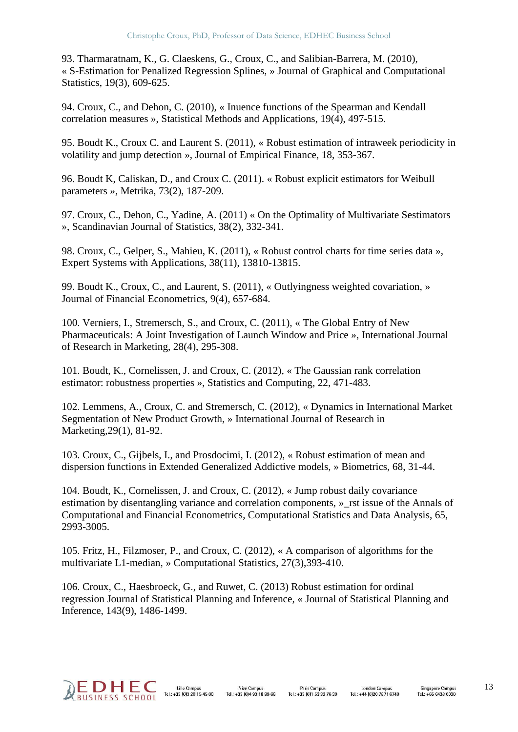93. Tharmaratnam, K., G. Claeskens, G., Croux, C., and Salibian-Barrera, M. (2010), « S-Estimation for Penalized Regression Splines, » Journal of Graphical and Computational Statistics, 19(3), 609-625.

94. Croux, C., and Dehon, C. (2010), « Inuence functions of the Spearman and Kendall correlation measures », Statistical Methods and Applications, 19(4), 497-515.

95. Boudt K., Croux C. and Laurent S. (2011), « Robust estimation of intraweek periodicity in volatility and jump detection », Journal of Empirical Finance, 18, 353-367.

96. Boudt K, Caliskan, D., and Croux C. (2011). « Robust explicit estimators for Weibull parameters », Metrika, 73(2), 187-209.

97. Croux, C., Dehon, C., Yadine, A. (2011) « On the Optimality of Multivariate Sestimators », Scandinavian Journal of Statistics, 38(2), 332-341.

98. Croux, C., Gelper, S., Mahieu, K. (2011), « Robust control charts for time series data », Expert Systems with Applications, 38(11), 13810-13815.

99. Boudt K., Croux, C., and Laurent, S. (2011), « Outlyingness weighted covariation, » Journal of Financial Econometrics, 9(4), 657-684.

100. Verniers, I., Stremersch, S., and Croux, C. (2011), « The Global Entry of New Pharmaceuticals: A Joint Investigation of Launch Window and Price », International Journal of Research in Marketing, 28(4), 295-308.

101. Boudt, K., Cornelissen, J. and Croux, C. (2012), « The Gaussian rank correlation estimator: robustness properties », Statistics and Computing, 22, 471-483.

102. Lemmens, A., Croux, C. and Stremersch, C. (2012), « Dynamics in International Market Segmentation of New Product Growth, » International Journal of Research in Marketing,29(1), 81-92.

103. Croux, C., Gijbels, I., and Prosdocimi, I. (2012), « Robust estimation of mean and dispersion functions in Extended Generalized Addictive models, » Biometrics, 68, 31-44.

104. Boudt, K., Cornelissen, J. and Croux, C. (2012), « Jump robust daily covariance estimation by disentangling variance and correlation components, » rst issue of the Annals of Computational and Financial Econometrics, Computational Statistics and Data Analysis, 65, 2993-3005.

105. Fritz, H., Filzmoser, P., and Croux, C. (2012), « A comparison of algorithms for the multivariate L1-median, » Computational Statistics, 27(3),393-410.

106. Croux, C., Haesbroeck, G., and Ruwet, C. (2013) Robust estimation for ordinal regression Journal of Statistical Planning and Inference, « Journal of Statistical Planning and Inference, 143(9), 1486-1499.

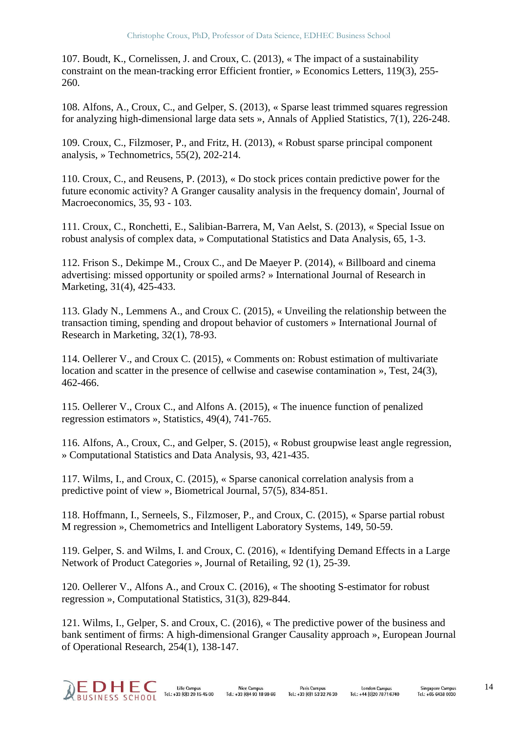107. Boudt, K., Cornelissen, J. and Croux, C. (2013), « The impact of a sustainability constraint on the mean-tracking error Efficient frontier, » Economics Letters, 119(3), 255- 260.

108. Alfons, A., Croux, C., and Gelper, S. (2013), « Sparse least trimmed squares regression for analyzing high-dimensional large data sets », Annals of Applied Statistics, 7(1), 226-248.

109. Croux, C., Filzmoser, P., and Fritz, H. (2013), « Robust sparse principal component analysis, » Technometrics, 55(2), 202-214.

110. Croux, C., and Reusens, P. (2013), « Do stock prices contain predictive power for the future economic activity? A Granger causality analysis in the frequency domain', Journal of Macroeconomics, 35, 93 - 103.

111. Croux, C., Ronchetti, E., Salibian-Barrera, M, Van Aelst, S. (2013), « Special Issue on robust analysis of complex data, » Computational Statistics and Data Analysis, 65, 1-3.

112. Frison S., Dekimpe M., Croux C., and De Maeyer P. (2014), « Billboard and cinema advertising: missed opportunity or spoiled arms? » International Journal of Research in Marketing, 31(4), 425-433.

113. Glady N., Lemmens A., and Croux C. (2015), « Unveiling the relationship between the transaction timing, spending and dropout behavior of customers » International Journal of Research in Marketing, 32(1), 78-93.

114. Oellerer V., and Croux C. (2015), « Comments on: Robust estimation of multivariate location and scatter in the presence of cellwise and casewise contamination », Test, 24(3), 462-466.

115. Oellerer V., Croux C., and Alfons A. (2015), « The inuence function of penalized regression estimators », Statistics, 49(4), 741-765.

116. Alfons, A., Croux, C., and Gelper, S. (2015), « Robust groupwise least angle regression, » Computational Statistics and Data Analysis, 93, 421-435.

117. Wilms, I., and Croux, C. (2015), « Sparse canonical correlation analysis from a predictive point of view », Biometrical Journal, 57(5), 834-851.

118. Hoffmann, I., Serneels, S., Filzmoser, P., and Croux, C. (2015), « Sparse partial robust M regression », Chemometrics and Intelligent Laboratory Systems, 149, 50-59.

119. Gelper, S. and Wilms, I. and Croux, C. (2016), « Identifying Demand Effects in a Large Network of Product Categories », Journal of Retailing, 92 (1), 25-39.

120. Oellerer V., Alfons A., and Croux C. (2016), « The shooting S-estimator for robust regression », Computational Statistics, 31(3), 829-844.

121. Wilms, I., Gelper, S. and Croux, C. (2016), « The predictive power of the business and bank sentiment of firms: A high-dimensional Granger Causality approach », European Journal of Operational Research, 254(1), 138-147.

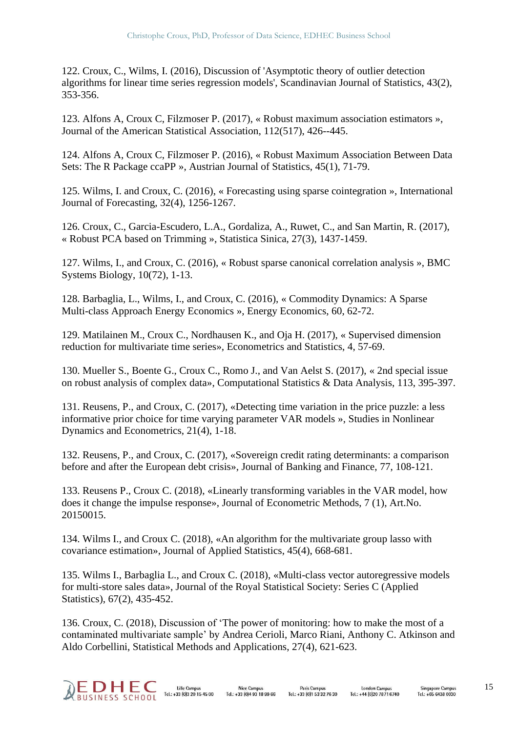122. Croux, C., Wilms, I. (2016), Discussion of 'Asymptotic theory of outlier detection algorithms for linear time series regression models', Scandinavian Journal of Statistics, 43(2), 353-356.

123. Alfons A, Croux C, Filzmoser P. (2017), « Robust maximum association estimators », Journal of the American Statistical Association, 112(517), 426--445.

124. Alfons A, Croux C, Filzmoser P. (2016), « Robust Maximum Association Between Data Sets: The R Package ccaPP », Austrian Journal of Statistics, 45(1), 71-79.

125. Wilms, I. and Croux, C. (2016), « Forecasting using sparse cointegration », International Journal of Forecasting, 32(4), 1256-1267.

126. Croux, C., Garcia-Escudero, L.A., Gordaliza, A., Ruwet, C., and San Martin, R. (2017), « Robust PCA based on Trimming », Statistica Sinica, 27(3), 1437-1459.

127. Wilms, I., and Croux, C. (2016), « Robust sparse canonical correlation analysis », BMC Systems Biology, 10(72), 1-13.

128. Barbaglia, L., Wilms, I., and Croux, C. (2016), « Commodity Dynamics: A Sparse Multi-class Approach Energy Economics », Energy Economics, 60, 62-72.

129. Matilainen M., Croux C., Nordhausen K., and Oja H. (2017), « Supervised dimension reduction for multivariate time series», Econometrics and Statistics, 4, 57-69.

130. Mueller S., Boente G., Croux C., Romo J., and Van Aelst S. (2017), « 2nd special issue on robust analysis of complex data», Computational Statistics & Data Analysis, 113, 395-397.

131. Reusens, P., and Croux, C. (2017), «Detecting time variation in the price puzzle: a less informative prior choice for time varying parameter VAR models », Studies in Nonlinear Dynamics and Econometrics, 21(4), 1-18.

132. Reusens, P., and Croux, C. (2017), «Sovereign credit rating determinants: a comparison before and after the European debt crisis», Journal of Banking and Finance, 77, 108-121.

133. Reusens P., Croux C. (2018), «Linearly transforming variables in the VAR model, how does it change the impulse response», Journal of Econometric Methods, 7 (1), Art.No. 20150015.

134. Wilms I., and Croux C. (2018), «An algorithm for the multivariate group lasso with covariance estimation», Journal of Applied Statistics, 45(4), 668-681.

135. Wilms I., Barbaglia L., and Croux C. (2018), «Multi-class vector autoregressive models for multi-store sales data», Journal of the Royal Statistical Society: Series C (Applied Statistics), 67(2), 435-452.

136. Croux, C. (2018), Discussion of 'The power of monitoring: how to make the most of a contaminated multivariate sample' by Andrea Cerioli, Marco Riani, Anthony C. Atkinson and Aldo Corbellini, Statistical Methods and Applications, 27(4), 621-623.



**Lille Campus Nice Campus** Tel.: +33 (0)3 20 15 45 00  $\text{Tel} : +33 \overline{)014}93 \overline{)18}9966$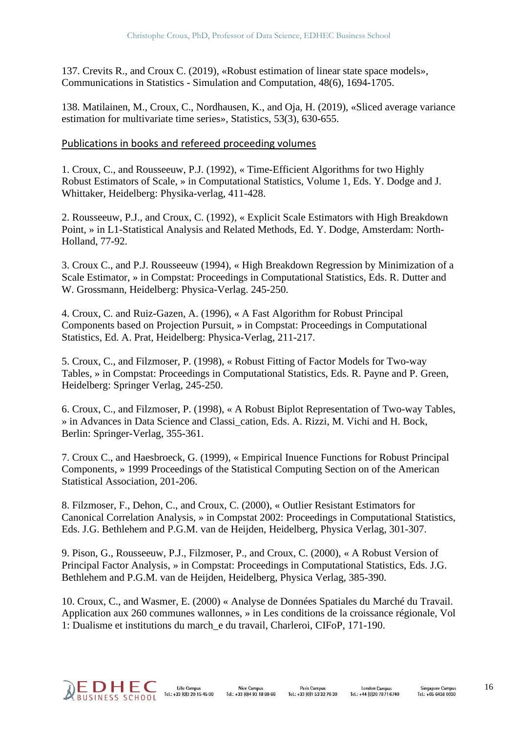137. Crevits R., and Croux C. (2019), «Robust estimation of linear state space models», Communications in Statistics - Simulation and Computation, 48(6), 1694-1705.

138. Matilainen, M., Croux, C., Nordhausen, K., and Oja, H. (2019), «Sliced average variance estimation for multivariate time series», Statistics, 53(3), 630-655.

#### Publications in books and refereed proceeding volumes

1. Croux, C., and Rousseeuw, P.J. (1992), « Time-Efficient Algorithms for two Highly Robust Estimators of Scale, » in Computational Statistics, Volume 1, Eds. Y. Dodge and J. Whittaker, Heidelberg: Physika-verlag, 411-428.

2. Rousseeuw, P.J., and Croux, C. (1992), « Explicit Scale Estimators with High Breakdown Point, » in L1-Statistical Analysis and Related Methods, Ed. Y. Dodge, Amsterdam: North-Holland, 77-92.

3. Croux C., and P.J. Rousseeuw (1994), « High Breakdown Regression by Minimization of a Scale Estimator, » in Compstat: Proceedings in Computational Statistics, Eds. R. Dutter and W. Grossmann, Heidelberg: Physica-Verlag. 245-250.

4. Croux, C. and Ruiz-Gazen, A. (1996), « A Fast Algorithm for Robust Principal Components based on Projection Pursuit, » in Compstat: Proceedings in Computational Statistics, Ed. A. Prat, Heidelberg: Physica-Verlag, 211-217.

5. Croux, C., and Filzmoser, P. (1998), « Robust Fitting of Factor Models for Two-way Tables, » in Compstat: Proceedings in Computational Statistics, Eds. R. Payne and P. Green, Heidelberg: Springer Verlag, 245-250.

6. Croux, C., and Filzmoser, P. (1998), « A Robust Biplot Representation of Two-way Tables, » in Advances in Data Science and Classi\_cation, Eds. A. Rizzi, M. Vichi and H. Bock, Berlin: Springer-Verlag, 355-361.

7. Croux C., and Haesbroeck, G. (1999), « Empirical Inuence Functions for Robust Principal Components, » 1999 Proceedings of the Statistical Computing Section on of the American Statistical Association, 201-206.

8. Filzmoser, F., Dehon, C., and Croux, C. (2000), « Outlier Resistant Estimators for Canonical Correlation Analysis, » in Compstat 2002: Proceedings in Computational Statistics, Eds. J.G. Bethlehem and P.G.M. van de Heijden, Heidelberg, Physica Verlag, 301-307.

9. Pison, G., Rousseeuw, P.J., Filzmoser, P., and Croux, C. (2000), « A Robust Version of Principal Factor Analysis, » in Compstat: Proceedings in Computational Statistics, Eds. J.G. Bethlehem and P.G.M. van de Heijden, Heidelberg, Physica Verlag, 385-390.

10. Croux, C., and Wasmer, E. (2000) « Analyse de Données Spatiales du Marché du Travail. Application aux 260 communes wallonnes, » in Les conditions de la croissance régionale, Vol 1: Dualisme et institutions du march\_e du travail, Charleroi, CIFoP, 171-190.

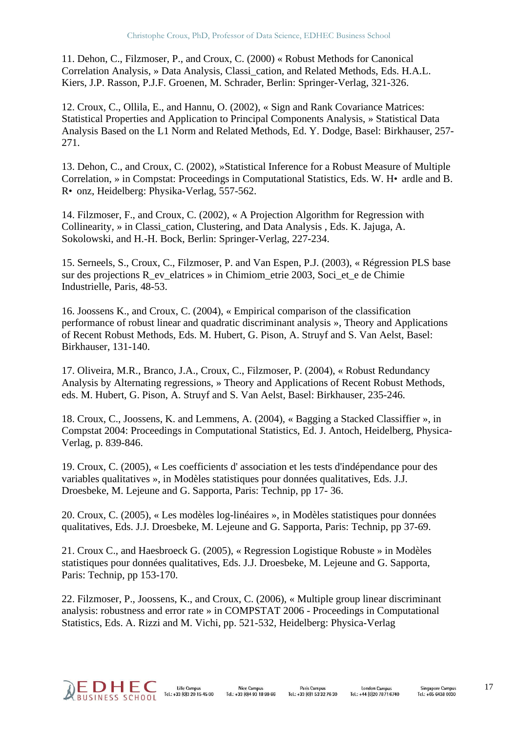11. Dehon, C., Filzmoser, P., and Croux, C. (2000) « Robust Methods for Canonical Correlation Analysis, » Data Analysis, Classi\_cation, and Related Methods, Eds. H.A.L. Kiers, J.P. Rasson, P.J.F. Groenen, M. Schrader, Berlin: Springer-Verlag, 321-326.

12. Croux, C., Ollila, E., and Hannu, O. (2002), « Sign and Rank Covariance Matrices: Statistical Properties and Application to Principal Components Analysis, » Statistical Data Analysis Based on the L1 Norm and Related Methods, Ed. Y. Dodge, Basel: Birkhauser, 257- 271.

13. Dehon, C., and Croux, C. (2002), »Statistical Inference for a Robust Measure of Multiple Correlation, » in Compstat: Proceedings in Computational Statistics, Eds. W. H• ardle and B. R• onz, Heidelberg: Physika-Verlag, 557-562.

14. Filzmoser, F., and Croux, C. (2002), « A Projection Algorithm for Regression with Collinearity, » in Classi\_cation, Clustering, and Data Analysis , Eds. K. Jajuga, A. Sokolowski, and H.-H. Bock, Berlin: Springer-Verlag, 227-234.

15. Serneels, S., Croux, C., Filzmoser, P. and Van Espen, P.J. (2003), « Régression PLS base sur des projections R\_ev\_elatrices » in Chimiom\_etrie 2003, Soci\_et\_e de Chimie Industrielle, Paris, 48-53.

16. Joossens K., and Croux, C. (2004), « Empirical comparison of the classification performance of robust linear and quadratic discriminant analysis », Theory and Applications of Recent Robust Methods, Eds. M. Hubert, G. Pison, A. Struyf and S. Van Aelst, Basel: Birkhauser, 131-140.

17. Oliveira, M.R., Branco, J.A., Croux, C., Filzmoser, P. (2004), « Robust Redundancy Analysis by Alternating regressions, » Theory and Applications of Recent Robust Methods, eds. M. Hubert, G. Pison, A. Struyf and S. Van Aelst, Basel: Birkhauser, 235-246.

18. Croux, C., Joossens, K. and Lemmens, A. (2004), « Bagging a Stacked Classiffier », in Compstat 2004: Proceedings in Computational Statistics, Ed. J. Antoch, Heidelberg, Physica-Verlag, p. 839-846.

19. Croux, C. (2005), « Les coefficients d' association et les tests d'indépendance pour des variables qualitatives », in Modèles statistiques pour données qualitatives, Eds. J.J. Droesbeke, M. Lejeune and G. Sapporta, Paris: Technip, pp 17- 36.

20. Croux, C. (2005), « Les modèles log-linéaires », in Modèles statistiques pour données qualitatives, Eds. J.J. Droesbeke, M. Lejeune and G. Sapporta, Paris: Technip, pp 37-69.

21. Croux C., and Haesbroeck G. (2005), « Regression Logistique Robuste » in Modèles statistiques pour données qualitatives, Eds. J.J. Droesbeke, M. Lejeune and G. Sapporta, Paris: Technip, pp 153-170.

22. Filzmoser, P., Joossens, K., and Croux, C. (2006), « Multiple group linear discriminant analysis: robustness and error rate » in COMPSTAT 2006 - Proceedings in Computational Statistics, Eds. A. Rizzi and M. Vichi, pp. 521-532, Heidelberg: Physica-Verlag

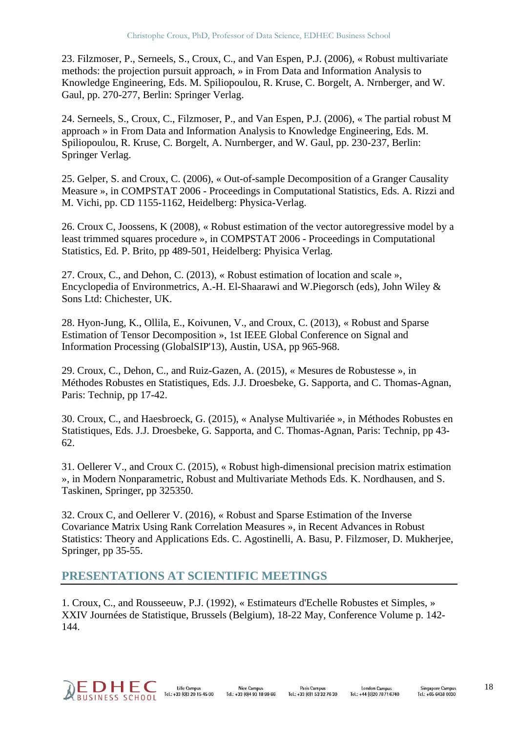23. Filzmoser, P., Serneels, S., Croux, C., and Van Espen, P.J. (2006), « Robust multivariate methods: the projection pursuit approach, » in From Data and Information Analysis to Knowledge Engineering, Eds. M. Spiliopoulou, R. Kruse, C. Borgelt, A. Nrnberger, and W. Gaul, pp. 270-277, Berlin: Springer Verlag.

24. Serneels, S., Croux, C., Filzmoser, P., and Van Espen, P.J. (2006), « The partial robust M approach » in From Data and Information Analysis to Knowledge Engineering, Eds. M. Spiliopoulou, R. Kruse, C. Borgelt, A. Nurnberger, and W. Gaul, pp. 230-237, Berlin: Springer Verlag.

25. Gelper, S. and Croux, C. (2006), « Out-of-sample Decomposition of a Granger Causality Measure », in COMPSTAT 2006 - Proceedings in Computational Statistics, Eds. A. Rizzi and M. Vichi, pp. CD 1155-1162, Heidelberg: Physica-Verlag.

26. Croux C, Joossens, K (2008), « Robust estimation of the vector autoregressive model by a least trimmed squares procedure », in COMPSTAT 2006 - Proceedings in Computational Statistics, Ed. P. Brito, pp 489-501, Heidelberg: Phyisica Verlag.

27. Croux, C., and Dehon, C. (2013), « Robust estimation of location and scale », Encyclopedia of Environmetrics, A.-H. El-Shaarawi and W.Piegorsch (eds), John Wiley & Sons Ltd: Chichester, UK.

28. Hyon-Jung, K., Ollila, E., Koivunen, V., and Croux, C. (2013), « Robust and Sparse Estimation of Tensor Decomposition », 1st IEEE Global Conference on Signal and Information Processing (GlobalSIP'13), Austin, USA, pp 965-968.

29. Croux, C., Dehon, C., and Ruiz-Gazen, A. (2015), « Mesures de Robustesse », in Méthodes Robustes en Statistiques, Eds. J.J. Droesbeke, G. Sapporta, and C. Thomas-Agnan, Paris: Technip, pp 17-42.

30. Croux, C., and Haesbroeck, G. (2015), « Analyse Multivariée », in Méthodes Robustes en Statistiques, Eds. J.J. Droesbeke, G. Sapporta, and C. Thomas-Agnan, Paris: Technip, pp 43- 62.

31. Oellerer V., and Croux C. (2015), « Robust high-dimensional precision matrix estimation », in Modern Nonparametric, Robust and Multivariate Methods Eds. K. Nordhausen, and S. Taskinen, Springer, pp 325350.

32. Croux C, and Oellerer V. (2016), « Robust and Sparse Estimation of the Inverse Covariance Matrix Using Rank Correlation Measures », in Recent Advances in Robust Statistics: Theory and Applications Eds. C. Agostinelli, A. Basu, P. Filzmoser, D. Mukherjee, Springer, pp 35-55.

#### **PRESENTATIONS AT SCIENTIFIC MEETINGS**

1. Croux, C., and Rousseeuw, P.J. (1992), « Estimateurs d'Echelle Robustes et Simples, » XXIV Journées de Statistique, Brussels (Belgium), 18-22 May, Conference Volume p. 142- 144.



Lille Campus **Nice Campus** Tel.: +33 (0)3 20 15 45 00  $\text{Tel} \div 33$  (0) 4 93 18 99 66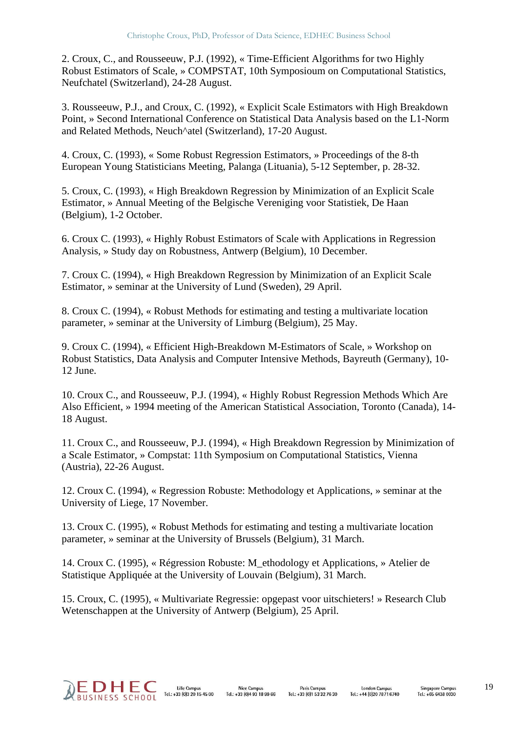2. Croux, C., and Rousseeuw, P.J. (1992), « Time-Efficient Algorithms for two Highly Robust Estimators of Scale, » COMPSTAT, 10th Symposioum on Computational Statistics, Neufchatel (Switzerland), 24-28 August.

3. Rousseeuw, P.J., and Croux, C. (1992), « Explicit Scale Estimators with High Breakdown Point, » Second International Conference on Statistical Data Analysis based on the L1-Norm and Related Methods, Neuch^atel (Switzerland), 17-20 August.

4. Croux, C. (1993), « Some Robust Regression Estimators, » Proceedings of the 8-th European Young Statisticians Meeting, Palanga (Lituania), 5-12 September, p. 28-32.

5. Croux, C. (1993), « High Breakdown Regression by Minimization of an Explicit Scale Estimator, » Annual Meeting of the Belgische Vereniging voor Statistiek, De Haan (Belgium), 1-2 October.

6. Croux C. (1993), « Highly Robust Estimators of Scale with Applications in Regression Analysis, » Study day on Robustness, Antwerp (Belgium), 10 December.

7. Croux C. (1994), « High Breakdown Regression by Minimization of an Explicit Scale Estimator, » seminar at the University of Lund (Sweden), 29 April.

8. Croux C. (1994), « Robust Methods for estimating and testing a multivariate location parameter, » seminar at the University of Limburg (Belgium), 25 May.

9. Croux C. (1994), « Efficient High-Breakdown M-Estimators of Scale, » Workshop on Robust Statistics, Data Analysis and Computer Intensive Methods, Bayreuth (Germany), 10- 12 June.

10. Croux C., and Rousseeuw, P.J. (1994), « Highly Robust Regression Methods Which Are Also Efficient, » 1994 meeting of the American Statistical Association, Toronto (Canada), 14- 18 August.

11. Croux C., and Rousseeuw, P.J. (1994), « High Breakdown Regression by Minimization of a Scale Estimator, » Compstat: 11th Symposium on Computational Statistics, Vienna (Austria), 22-26 August.

12. Croux C. (1994), « Regression Robuste: Methodology et Applications, » seminar at the University of Liege, 17 November.

13. Croux C. (1995), « Robust Methods for estimating and testing a multivariate location parameter, » seminar at the University of Brussels (Belgium), 31 March.

14. Croux C. (1995), « Régression Robuste: M\_ethodology et Applications, » Atelier de Statistique Appliquée at the University of Louvain (Belgium), 31 March.

15. Croux, C. (1995), « Multivariate Regressie: opgepast voor uitschieters! » Research Club Wetenschappen at the University of Antwerp (Belgium), 25 April.

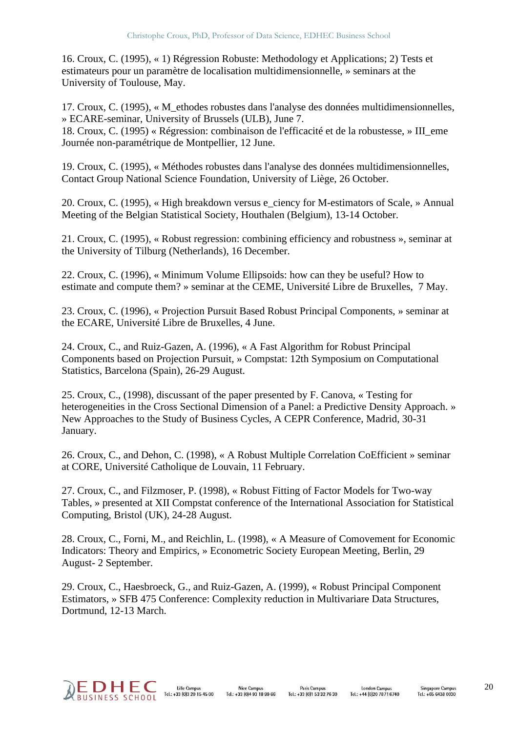16. Croux, C. (1995), « 1) Régression Robuste: Methodology et Applications; 2) Tests et estimateurs pour un paramètre de localisation multidimensionnelle, » seminars at the University of Toulouse, May.

17. Croux, C. (1995), « M\_ethodes robustes dans l'analyse des données multidimensionnelles, » ECARE-seminar, University of Brussels (ULB), June 7. 18. Croux, C. (1995) « Régression: combinaison de l'efficacité et de la robustesse, » III\_eme Journée non-paramétrique de Montpellier, 12 June.

19. Croux, C. (1995), « Méthodes robustes dans l'analyse des données multidimensionnelles, Contact Group National Science Foundation, University of Liège, 26 October.

20. Croux, C. (1995), « High breakdown versus e\_ciency for M-estimators of Scale, » Annual Meeting of the Belgian Statistical Society, Houthalen (Belgium), 13-14 October.

21. Croux, C. (1995), « Robust regression: combining efficiency and robustness », seminar at the University of Tilburg (Netherlands), 16 December.

22. Croux, C. (1996), « Minimum Volume Ellipsoids: how can they be useful? How to estimate and compute them? » seminar at the CEME, Université Libre de Bruxelles, 7 May.

23. Croux, C. (1996), « Projection Pursuit Based Robust Principal Components, » seminar at the ECARE, Université Libre de Bruxelles, 4 June.

24. Croux, C., and Ruiz-Gazen, A. (1996), « A Fast Algorithm for Robust Principal Components based on Projection Pursuit, » Compstat: 12th Symposium on Computational Statistics, Barcelona (Spain), 26-29 August.

25. Croux, C., (1998), discussant of the paper presented by F. Canova, « Testing for heterogeneities in the Cross Sectional Dimension of a Panel: a Predictive Density Approach. » New Approaches to the Study of Business Cycles, A CEPR Conference, Madrid, 30-31 January.

26. Croux, C., and Dehon, C. (1998), « A Robust Multiple Correlation CoEfficient » seminar at CORE, Université Catholique de Louvain, 11 February.

27. Croux, C., and Filzmoser, P. (1998), « Robust Fitting of Factor Models for Two-way Tables, » presented at XII Compstat conference of the International Association for Statistical Computing, Bristol (UK), 24-28 August.

28. Croux, C., Forni, M., and Reichlin, L. (1998), « A Measure of Comovement for Economic Indicators: Theory and Empirics, » Econometric Society European Meeting, Berlin, 29 August- 2 September.

29. Croux, C., Haesbroeck, G., and Ruiz-Gazen, A. (1999), « Robust Principal Component Estimators, » SFB 475 Conference: Complexity reduction in Multivariare Data Structures, Dortmund, 12-13 March.

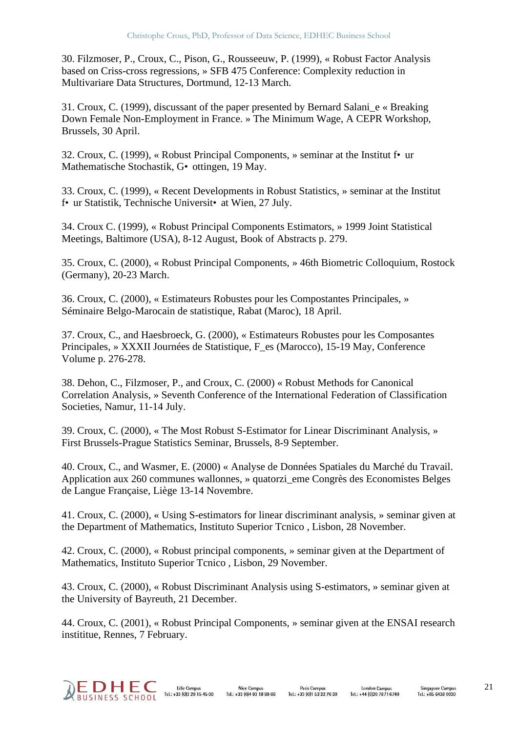30. Filzmoser, P., Croux, C., Pison, G., Rousseeuw, P. (1999), « Robust Factor Analysis based on Criss-cross regressions, » SFB 475 Conference: Complexity reduction in Multivariare Data Structures, Dortmund, 12-13 March.

31. Croux, C. (1999), discussant of the paper presented by Bernard Salani\_e « Breaking Down Female Non-Employment in France. » The Minimum Wage, A CEPR Workshop, Brussels, 30 April.

32. Croux, C. (1999), « Robust Principal Components, » seminar at the Institut f•ur Mathematische Stochastik, G•ottingen, 19 May.

33. Croux, C. (1999), « Recent Developments in Robust Statistics, » seminar at the Institut f•ur Statistik, Technische Universit•at Wien, 27 July.

34. Croux C. (1999), « Robust Principal Components Estimators, » 1999 Joint Statistical Meetings, Baltimore (USA), 8-12 August, Book of Abstracts p. 279.

35. Croux, C. (2000), « Robust Principal Components, » 46th Biometric Colloquium, Rostock (Germany), 20-23 March.

36. Croux, C. (2000), « Estimateurs Robustes pour les Compostantes Principales, » Séminaire Belgo-Marocain de statistique, Rabat (Maroc), 18 April.

37. Croux, C., and Haesbroeck, G. (2000), « Estimateurs Robustes pour les Composantes Principales, » XXXII Journées de Statistique, F\_es (Marocco), 15-19 May, Conference Volume p. 276-278.

38. Dehon, C., Filzmoser, P., and Croux, C. (2000) « Robust Methods for Canonical Correlation Analysis, » Seventh Conference of the International Federation of Classification Societies, Namur, 11-14 July.

39. Croux, C. (2000), « The Most Robust S-Estimator for Linear Discriminant Analysis, » First Brussels-Prague Statistics Seminar, Brussels, 8-9 September.

40. Croux, C., and Wasmer, E. (2000) « Analyse de Données Spatiales du Marché du Travail. Application aux 260 communes wallonnes, » quatorzi\_eme Congrès des Economistes Belges de Langue Française, Liège 13-14 Novembre.

41. Croux, C. (2000), « Using S-estimators for linear discriminant analysis, » seminar given at the Department of Mathematics, Instituto Superior Tcnico , Lisbon, 28 November.

42. Croux, C. (2000), « Robust principal components, » seminar given at the Department of Mathematics, Instituto Superior Tcnico , Lisbon, 29 November.

43. Croux, C. (2000), « Robust Discriminant Analysis using S-estimators, » seminar given at the University of Bayreuth, 21 December.

44. Croux, C. (2001), « Robust Principal Components, » seminar given at the ENSAI research instititue, Rennes, 7 February.



Lille Campus **Nice Campus** Tel.: +33 (0)3 20 15 45 00  $Tel + 33(0)493189966$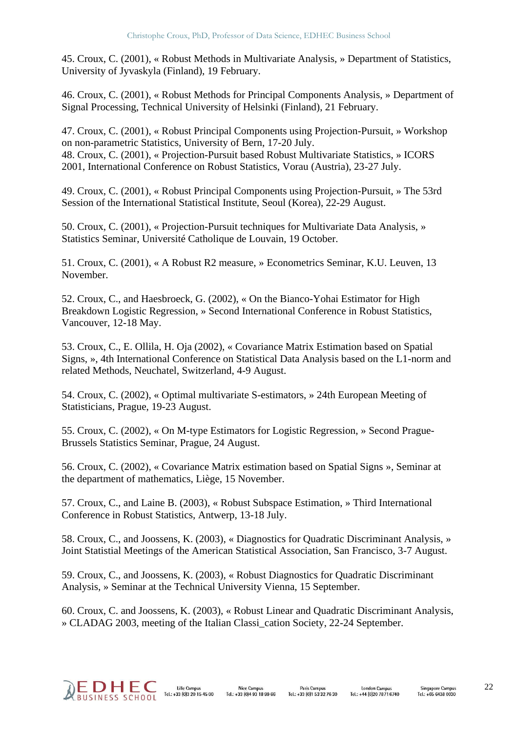45. Croux, C. (2001), « Robust Methods in Multivariate Analysis, » Department of Statistics, University of Jyvaskyla (Finland), 19 February.

46. Croux, C. (2001), « Robust Methods for Principal Components Analysis, » Department of Signal Processing, Technical University of Helsinki (Finland), 21 February.

47. Croux, C. (2001), « Robust Principal Components using Projection-Pursuit, » Workshop on non-parametric Statistics, University of Bern, 17-20 July. 48. Croux, C. (2001), « Projection-Pursuit based Robust Multivariate Statistics, » ICORS 2001, International Conference on Robust Statistics, Vorau (Austria), 23-27 July.

49. Croux, C. (2001), « Robust Principal Components using Projection-Pursuit, » The 53rd Session of the International Statistical Institute, Seoul (Korea), 22-29 August.

50. Croux, C. (2001), « Projection-Pursuit techniques for Multivariate Data Analysis, » Statistics Seminar, Université Catholique de Louvain, 19 October.

51. Croux, C. (2001), « A Robust R2 measure, » Econometrics Seminar, K.U. Leuven, 13 November.

52. Croux, C., and Haesbroeck, G. (2002), « On the Bianco-Yohai Estimator for High Breakdown Logistic Regression, » Second International Conference in Robust Statistics, Vancouver, 12-18 May.

53. Croux, C., E. Ollila, H. Oja (2002), « Covariance Matrix Estimation based on Spatial Signs, », 4th International Conference on Statistical Data Analysis based on the L1-norm and related Methods, Neuchatel, Switzerland, 4-9 August.

54. Croux, C. (2002), « Optimal multivariate S-estimators, » 24th European Meeting of Statisticians, Prague, 19-23 August.

55. Croux, C. (2002), « On M-type Estimators for Logistic Regression, » Second Prague-Brussels Statistics Seminar, Prague, 24 August.

56. Croux, C. (2002), « Covariance Matrix estimation based on Spatial Signs », Seminar at the department of mathematics, Liège, 15 November.

57. Croux, C., and Laine B. (2003), « Robust Subspace Estimation, » Third International Conference in Robust Statistics, Antwerp, 13-18 July.

58. Croux, C., and Joossens, K. (2003), « Diagnostics for Quadratic Discriminant Analysis, » Joint Statistial Meetings of the American Statistical Association, San Francisco, 3-7 August.

59. Croux, C., and Joossens, K. (2003), « Robust Diagnostics for Quadratic Discriminant Analysis, » Seminar at the Technical University Vienna, 15 September.

60. Croux, C. and Joossens, K. (2003), « Robust Linear and Quadratic Discriminant Analysis, » CLADAG 2003, meeting of the Italian Classi\_cation Society, 22-24 September.

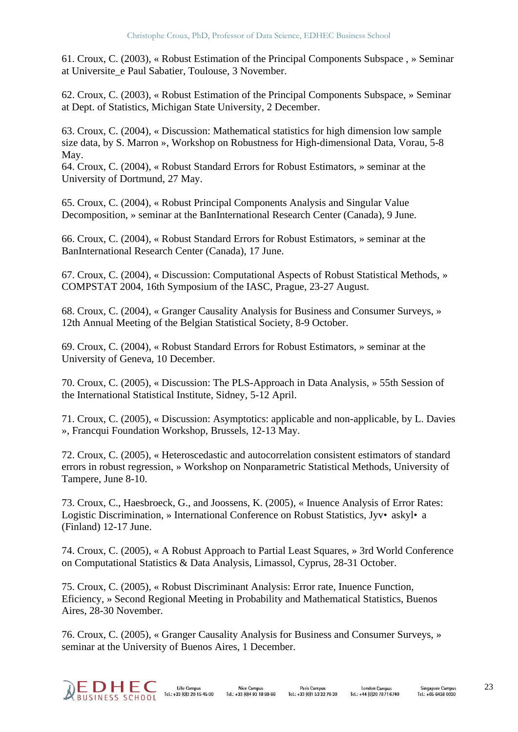61. Croux, C. (2003), « Robust Estimation of the Principal Components Subspace , » Seminar at Universite\_e Paul Sabatier, Toulouse, 3 November.

62. Croux, C. (2003), « Robust Estimation of the Principal Components Subspace, » Seminar at Dept. of Statistics, Michigan State University, 2 December.

63. Croux, C. (2004), « Discussion: Mathematical statistics for high dimension low sample size data, by S. Marron », Workshop on Robustness for High-dimensional Data, Vorau, 5-8 May.

64. Croux, C. (2004), « Robust Standard Errors for Robust Estimators, » seminar at the University of Dortmund, 27 May.

65. Croux, C. (2004), « Robust Principal Components Analysis and Singular Value Decomposition, » seminar at the BanInternational Research Center (Canada), 9 June.

66. Croux, C. (2004), « Robust Standard Errors for Robust Estimators, » seminar at the BanInternational Research Center (Canada), 17 June.

67. Croux, C. (2004), « Discussion: Computational Aspects of Robust Statistical Methods, » COMPSTAT 2004, 16th Symposium of the IASC, Prague, 23-27 August.

68. Croux, C. (2004), « Granger Causality Analysis for Business and Consumer Surveys, » 12th Annual Meeting of the Belgian Statistical Society, 8-9 October.

69. Croux, C. (2004), « Robust Standard Errors for Robust Estimators, » seminar at the University of Geneva, 10 December.

70. Croux, C. (2005), « Discussion: The PLS-Approach in Data Analysis, » 55th Session of the International Statistical Institute, Sidney, 5-12 April.

71. Croux, C. (2005), « Discussion: Asymptotics: applicable and non-applicable, by L. Davies », Francqui Foundation Workshop, Brussels, 12-13 May.

72. Croux, C. (2005), « Heteroscedastic and autocorrelation consistent estimators of standard errors in robust regression, » Workshop on Nonparametric Statistical Methods, University of Tampere, June 8-10.

73. Croux, C., Haesbroeck, G., and Joossens, K. (2005), « Inuence Analysis of Error Rates: Logistic Discrimination, » International Conference on Robust Statistics, Jyv• askyl• a (Finland) 12-17 June.

74. Croux, C. (2005), « A Robust Approach to Partial Least Squares, » 3rd World Conference on Computational Statistics & Data Analysis, Limassol, Cyprus, 28-31 October.

75. Croux, C. (2005), « Robust Discriminant Analysis: Error rate, Inuence Function, Eficiency, » Second Regional Meeting in Probability and Mathematical Statistics, Buenos Aires, 28-30 November.

76. Croux, C. (2005), « Granger Causality Analysis for Business and Consumer Surveys, » seminar at the University of Buenos Aires, 1 December.



**Lille Campus Nice Campus** Tel.: +33 (0)3 20 15 45 00  $Te1 : +33 (0)4.93.18.99.66$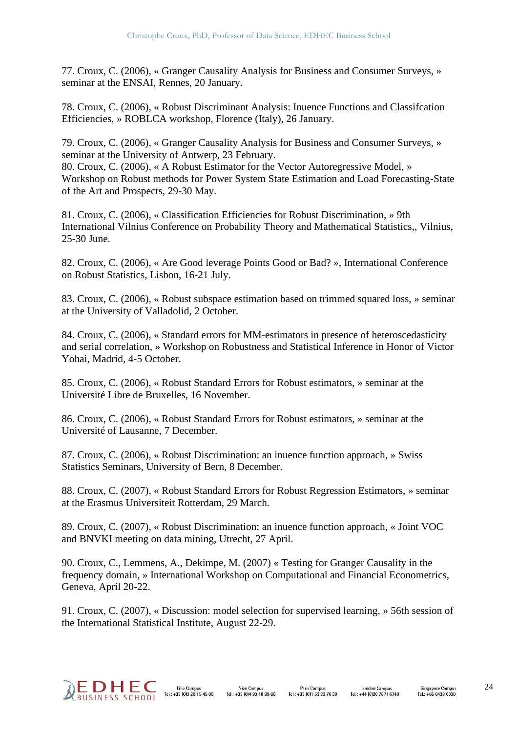77. Croux, C. (2006), « Granger Causality Analysis for Business and Consumer Surveys, » seminar at the ENSAI, Rennes, 20 January.

78. Croux, C. (2006), « Robust Discriminant Analysis: Inuence Functions and Classifcation Efficiencies, » ROBLCA workshop, Florence (Italy), 26 January.

79. Croux, C. (2006), « Granger Causality Analysis for Business and Consumer Surveys, » seminar at the University of Antwerp, 23 February.

80. Croux, C. (2006), « A Robust Estimator for the Vector Autoregressive Model, » Workshop on Robust methods for Power System State Estimation and Load Forecasting-State of the Art and Prospects, 29-30 May.

81. Croux, C. (2006), « Classification Efficiencies for Robust Discrimination, » 9th International Vilnius Conference on Probability Theory and Mathematical Statistics,, Vilnius, 25-30 June.

82. Croux, C. (2006), « Are Good leverage Points Good or Bad? », International Conference on Robust Statistics, Lisbon, 16-21 July.

83. Croux, C. (2006), « Robust subspace estimation based on trimmed squared loss, » seminar at the University of Valladolid, 2 October.

84. Croux, C. (2006), « Standard errors for MM-estimators in presence of heteroscedasticity and serial correlation, » Workshop on Robustness and Statistical Inference in Honor of Victor Yohai, Madrid, 4-5 October.

85. Croux, C. (2006), « Robust Standard Errors for Robust estimators, » seminar at the Université Libre de Bruxelles, 16 November.

86. Croux, C. (2006), « Robust Standard Errors for Robust estimators, » seminar at the Université of Lausanne, 7 December.

87. Croux, C. (2006), « Robust Discrimination: an inuence function approach, » Swiss Statistics Seminars, University of Bern, 8 December.

88. Croux, C. (2007), « Robust Standard Errors for Robust Regression Estimators, » seminar at the Erasmus Universiteit Rotterdam, 29 March.

89. Croux, C. (2007), « Robust Discrimination: an inuence function approach, « Joint VOC and BNVKI meeting on data mining, Utrecht, 27 April.

90. Croux, C., Lemmens, A., Dekimpe, M. (2007) « Testing for Granger Causality in the frequency domain, » International Workshop on Computational and Financial Econometrics, Geneva, April 20-22.

91. Croux, C. (2007), « Discussion: model selection for supervised learning, » 56th session of the International Statistical Institute, August 22-29.

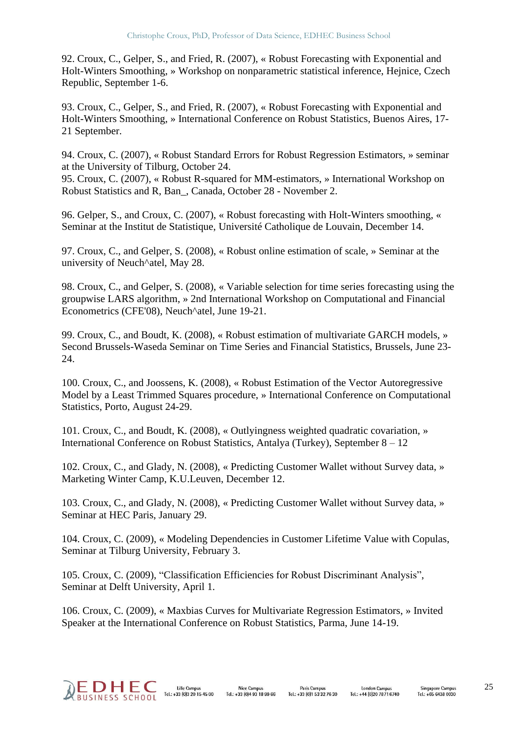92. Croux, C., Gelper, S., and Fried, R. (2007), « Robust Forecasting with Exponential and Holt-Winters Smoothing, » Workshop on nonparametric statistical inference, Hejnice, Czech Republic, September 1-6.

93. Croux, C., Gelper, S., and Fried, R. (2007), « Robust Forecasting with Exponential and Holt-Winters Smoothing, » International Conference on Robust Statistics, Buenos Aires, 17- 21 September.

94. Croux, C. (2007), « Robust Standard Errors for Robust Regression Estimators, » seminar at the University of Tilburg, October 24.

95. Croux, C. (2007), « Robust R-squared for MM-estimators, » International Workshop on Robust Statistics and R, Ban\_, Canada, October 28 - November 2.

96. Gelper, S., and Croux, C. (2007), « Robust forecasting with Holt-Winters smoothing, « Seminar at the Institut de Statistique, Université Catholique de Louvain, December 14.

97. Croux, C., and Gelper, S. (2008), « Robust online estimation of scale, » Seminar at the university of Neuch^atel, May 28.

98. Croux, C., and Gelper, S. (2008), « Variable selection for time series forecasting using the groupwise LARS algorithm, » 2nd International Workshop on Computational and Financial Econometrics (CFE'08), Neuch^atel, June 19-21.

99. Croux, C., and Boudt, K. (2008), « Robust estimation of multivariate GARCH models, » Second Brussels-Waseda Seminar on Time Series and Financial Statistics, Brussels, June 23- 24.

100. Croux, C., and Joossens, K. (2008), « Robust Estimation of the Vector Autoregressive Model by a Least Trimmed Squares procedure, » International Conference on Computational Statistics, Porto, August 24-29.

101. Croux, C., and Boudt, K. (2008), « Outlyingness weighted quadratic covariation, » International Conference on Robust Statistics, Antalya (Turkey), September 8 – 12

102. Croux, C., and Glady, N. (2008), « Predicting Customer Wallet without Survey data, » Marketing Winter Camp, K.U.Leuven, December 12.

103. Croux, C., and Glady, N. (2008), « Predicting Customer Wallet without Survey data, » Seminar at HEC Paris, January 29.

104. Croux, C. (2009), « Modeling Dependencies in Customer Lifetime Value with Copulas, Seminar at Tilburg University, February 3.

105. Croux, C. (2009), "Classification Efficiencies for Robust Discriminant Analysis", Seminar at Delft University, April 1.

106. Croux, C. (2009), « Maxbias Curves for Multivariate Regression Estimators, » Invited Speaker at the International Conference on Robust Statistics, Parma, June 14-19.

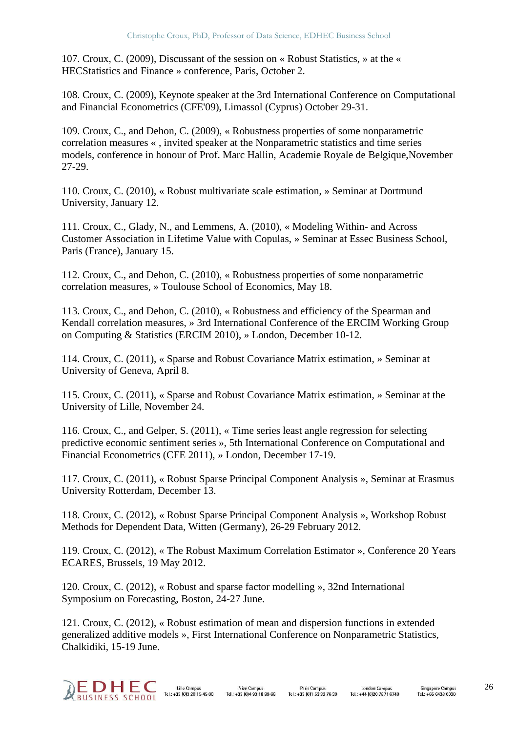107. Croux, C. (2009), Discussant of the session on « Robust Statistics, » at the « HECStatistics and Finance » conference, Paris, October 2.

108. Croux, C. (2009), Keynote speaker at the 3rd International Conference on Computational and Financial Econometrics (CFE'09), Limassol (Cyprus) October 29-31.

109. Croux, C., and Dehon, C. (2009), « Robustness properties of some nonparametric correlation measures « , invited speaker at the Nonparametric statistics and time series models, conference in honour of Prof. Marc Hallin, Academie Royale de Belgique,November 27-29.

110. Croux, C. (2010), « Robust multivariate scale estimation, » Seminar at Dortmund University, January 12.

111. Croux, C., Glady, N., and Lemmens, A. (2010), « Modeling Within- and Across Customer Association in Lifetime Value with Copulas, » Seminar at Essec Business School, Paris (France), January 15.

112. Croux, C., and Dehon, C. (2010), « Robustness properties of some nonparametric correlation measures, » Toulouse School of Economics, May 18.

113. Croux, C., and Dehon, C. (2010), « Robustness and efficiency of the Spearman and Kendall correlation measures, » 3rd International Conference of the ERCIM Working Group on Computing & Statistics (ERCIM 2010), » London, December 10-12.

114. Croux, C. (2011), « Sparse and Robust Covariance Matrix estimation, » Seminar at University of Geneva, April 8.

115. Croux, C. (2011), « Sparse and Robust Covariance Matrix estimation, » Seminar at the University of Lille, November 24.

116. Croux, C., and Gelper, S. (2011), « Time series least angle regression for selecting predictive economic sentiment series », 5th International Conference on Computational and Financial Econometrics (CFE 2011), » London, December 17-19.

117. Croux, C. (2011), « Robust Sparse Principal Component Analysis », Seminar at Erasmus University Rotterdam, December 13.

118. Croux, C. (2012), « Robust Sparse Principal Component Analysis », Workshop Robust Methods for Dependent Data, Witten (Germany), 26-29 February 2012.

119. Croux, C. (2012), « The Robust Maximum Correlation Estimator », Conference 20 Years ECARES, Brussels, 19 May 2012.

120. Croux, C. (2012), « Robust and sparse factor modelling », 32nd International Symposium on Forecasting, Boston, 24-27 June.

121. Croux, C. (2012), « Robust estimation of mean and dispersion functions in extended generalized additive models », First International Conference on Nonparametric Statistics, Chalkidiki, 15-19 June.

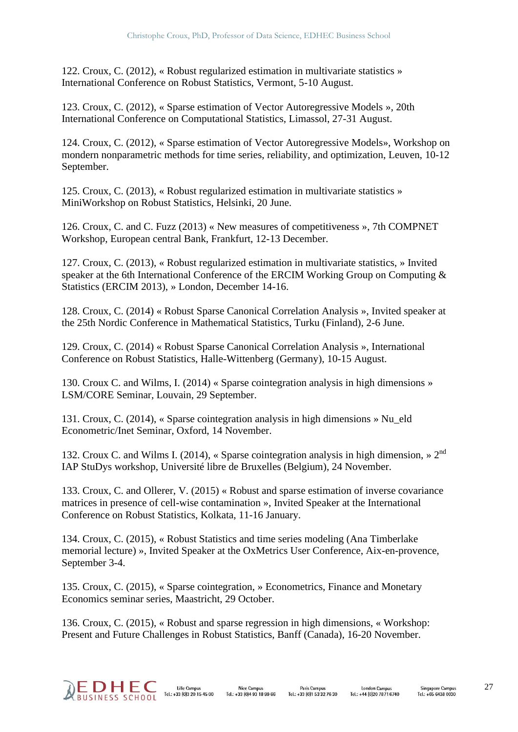122. Croux, C. (2012), « Robust regularized estimation in multivariate statistics » International Conference on Robust Statistics, Vermont, 5-10 August.

123. Croux, C. (2012), « Sparse estimation of Vector Autoregressive Models », 20th International Conference on Computational Statistics, Limassol, 27-31 August.

124. Croux, C. (2012), « Sparse estimation of Vector Autoregressive Models», Workshop on mondern nonparametric methods for time series, reliability, and optimization, Leuven, 10-12 September.

125. Croux, C. (2013), « Robust regularized estimation in multivariate statistics » MiniWorkshop on Robust Statistics, Helsinki, 20 June.

126. Croux, C. and C. Fuzz (2013) « New measures of competitiveness », 7th COMPNET Workshop, European central Bank, Frankfurt, 12-13 December.

127. Croux, C. (2013), « Robust regularized estimation in multivariate statistics, » Invited speaker at the 6th International Conference of the ERCIM Working Group on Computing & Statistics (ERCIM 2013), » London, December 14-16.

128. Croux, C. (2014) « Robust Sparse Canonical Correlation Analysis », Invited speaker at the 25th Nordic Conference in Mathematical Statistics, Turku (Finland), 2-6 June.

129. Croux, C. (2014) « Robust Sparse Canonical Correlation Analysis », International Conference on Robust Statistics, Halle-Wittenberg (Germany), 10-15 August.

130. Croux C. and Wilms, I. (2014) « Sparse cointegration analysis in high dimensions » LSM/CORE Seminar, Louvain, 29 September.

131. Croux, C. (2014), « Sparse cointegration analysis in high dimensions » Nu\_eld Econometric/Inet Seminar, Oxford, 14 November.

132. Croux C. and Wilms I. (2014), « Sparse cointegration analysis in high dimension, »  $2<sup>nd</sup>$ IAP StuDys workshop, Université libre de Bruxelles (Belgium), 24 November.

133. Croux, C. and Ollerer, V. (2015) « Robust and sparse estimation of inverse covariance matrices in presence of cell-wise contamination », Invited Speaker at the International Conference on Robust Statistics, Kolkata, 11-16 January.

134. Croux, C. (2015), « Robust Statistics and time series modeling (Ana Timberlake memorial lecture) », Invited Speaker at the OxMetrics User Conference, Aix-en-provence, September 3-4.

135. Croux, C. (2015), « Sparse cointegration, » Econometrics, Finance and Monetary Economics seminar series, Maastricht, 29 October.

136. Croux, C. (2015), « Robust and sparse regression in high dimensions, « Workshop: Present and Future Challenges in Robust Statistics, Banff (Canada), 16-20 November.

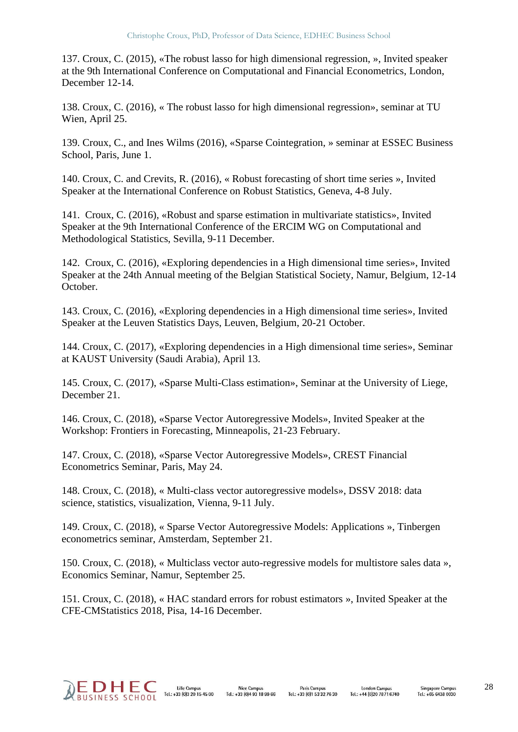137. Croux, C. (2015), «The robust lasso for high dimensional regression, », Invited speaker at the 9th International Conference on Computational and Financial Econometrics, London, December 12-14.

138. Croux, C. (2016), « The robust lasso for high dimensional regression», seminar at TU Wien, April 25.

139. Croux, C., and Ines Wilms (2016), «Sparse Cointegration, » seminar at ESSEC Business School, Paris, June 1.

140. Croux, C. and Crevits, R. (2016), « Robust forecasting of short time series », Invited Speaker at the International Conference on Robust Statistics, Geneva, 4-8 July.

141. Croux, C. (2016), «Robust and sparse estimation in multivariate statistics», Invited Speaker at the 9th International Conference of the ERCIM WG on Computational and Methodological Statistics, Sevilla, 9-11 December.

142. Croux, C. (2016), «Exploring dependencies in a High dimensional time series», Invited Speaker at the 24th Annual meeting of the Belgian Statistical Society, Namur, Belgium, 12-14 October.

143. Croux, C. (2016), «Exploring dependencies in a High dimensional time series», Invited Speaker at the Leuven Statistics Days, Leuven, Belgium, 20-21 October.

144. Croux, C. (2017), «Exploring dependencies in a High dimensional time series», Seminar at KAUST University (Saudi Arabia), April 13.

145. Croux, C. (2017), «Sparse Multi-Class estimation», Seminar at the University of Liege, December 21.

146. Croux, C. (2018), «Sparse Vector Autoregressive Models», Invited Speaker at the Workshop: Frontiers in Forecasting, Minneapolis, 21-23 February.

147. Croux, C. (2018), «Sparse Vector Autoregressive Models», CREST Financial Econometrics Seminar, Paris, May 24.

148. Croux, C. (2018), « Multi-class vector autoregressive models», DSSV 2018: data science, statistics, visualization, Vienna, 9-11 July.

149. Croux, C. (2018), « Sparse Vector Autoregressive Models: Applications », Tinbergen econometrics seminar, Amsterdam, September 21.

150. Croux, C. (2018), « Multiclass vector auto-regressive models for multistore sales data », Economics Seminar, Namur, September 25.

151. Croux, C. (2018), « HAC standard errors for robust estimators », Invited Speaker at the CFE-CMStatistics 2018, Pisa, 14-16 December.